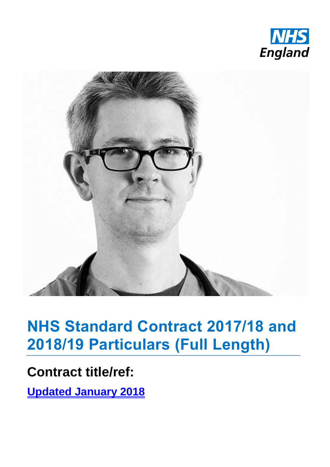



# **NHS Standard Contract 2017/18 and 2018/19 Particulars (Full Length)**

# **Contract title/ref:**

**Updated January 2018**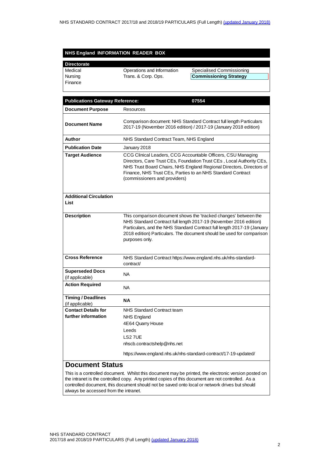#### **NHS England INFORMATION READER BOX**

| <b>Directorate</b> |                            |                               |
|--------------------|----------------------------|-------------------------------|
| Medical            | Operations and Information | Specialised Commissioning     |
| Nursing            | Trans. & Corp. Ops.        | <b>Commissioning Strategy</b> |
| Finance            |                            |                               |

| <b>Publications Gateway Reference:</b>       | 07554                                                                                                                                                                                                                                                                                                         |  |
|----------------------------------------------|---------------------------------------------------------------------------------------------------------------------------------------------------------------------------------------------------------------------------------------------------------------------------------------------------------------|--|
| <b>Document Purpose</b>                      | Resources                                                                                                                                                                                                                                                                                                     |  |
| <b>Document Name</b>                         | Comparison document: NHS Standard Contract full length Particulars<br>2017-19 (November 2016 edition) / 2017-19 (January 2018 edition)                                                                                                                                                                        |  |
| Author                                       | NHS Standard Contract Team, NHS England                                                                                                                                                                                                                                                                       |  |
| <b>Publication Date</b>                      | January 2018                                                                                                                                                                                                                                                                                                  |  |
| <b>Target Audience</b>                       | CCG Clinical Leaders, CCG Accountable Officers, CSU Managing<br>Directors, Care Trust CEs, Foundation Trust CEs, Local Authority CEs,<br>NHS Trust Board Chairs, NHS England Regional Directors, Directors of<br>Finance, NHS Trust CEs, Parties to an NHS Standard Contract<br>(commissioners and providers) |  |
| <b>Additional Circulation</b>                |                                                                                                                                                                                                                                                                                                               |  |
| List                                         |                                                                                                                                                                                                                                                                                                               |  |
| <b>Description</b>                           | This comparison document shows the 'tracked changes' between the<br>NHS Standard Contract full length 2017-19 (November 2016 edition)<br>Particulars, and the NHS Standard Contract full length 2017-19 (January<br>2018 edition) Particulars. The document should be used for comparison<br>purposes only.   |  |
| <b>Cross Reference</b>                       | NHS Standard Contract https://www.england.nhs.uk/nhs-standard-<br>contract/                                                                                                                                                                                                                                   |  |
| <b>Superseded Docs</b><br>(if applicable)    | <b>NA</b>                                                                                                                                                                                                                                                                                                     |  |
| <b>Action Required</b>                       | <b>NA</b>                                                                                                                                                                                                                                                                                                     |  |
| <b>Timing / Deadlines</b><br>(if applicable) | <b>NA</b>                                                                                                                                                                                                                                                                                                     |  |
| <b>Contact Details for</b>                   | NHS Standard Contract team                                                                                                                                                                                                                                                                                    |  |
| further information                          | <b>NHS England</b>                                                                                                                                                                                                                                                                                            |  |
|                                              | 4E64 Quarry House                                                                                                                                                                                                                                                                                             |  |
|                                              | Leeds<br>LS27UE                                                                                                                                                                                                                                                                                               |  |
|                                              | nhscb.contractshelp@nhs.net                                                                                                                                                                                                                                                                                   |  |
|                                              |                                                                                                                                                                                                                                                                                                               |  |
|                                              | https://www.england.nhs.uk/nhs-standard-contract/17-19-updated/                                                                                                                                                                                                                                               |  |
| <b>Document Status</b>                       |                                                                                                                                                                                                                                                                                                               |  |
|                                              | This is a controlled document. Whilst this document may be printed, the electronic version posted on                                                                                                                                                                                                          |  |

the intranet is the controlled copy. Any printed copies of this document are not controlled. As a controlled document, this document should not be saved onto local or network drives but should always be accessed from the intranet.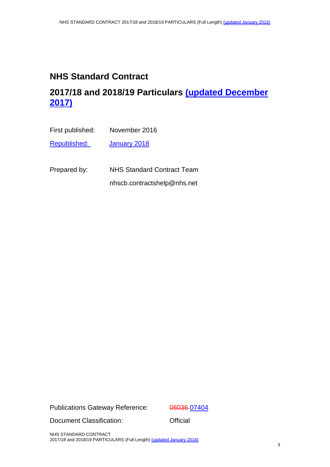# **NHS Standard Contract**

# **2017/18 and 2018/19 Particulars (updated December 2017)**

| First published:    | November 2016 |
|---------------------|---------------|
| <u>Republished:</u> | January 2018  |
|                     |               |

Prepared by: NHS Standard Contract Team nhscb.contractshelp@nhs.net

Publications Gateway Reference: 06036-07404

Document Classification: **Official** 

NHS STANDARD CONTRACT 2017/18 and 2018/19 PARTICULARS (Full Length) (updated January 2018)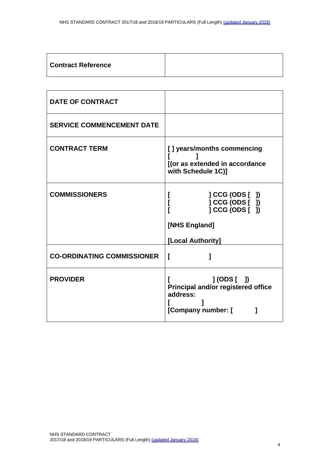| <b>Contract Reference</b> |  |
|---------------------------|--|
|---------------------------|--|

| <b>DATE OF CONTRACT</b>           |                                                                                             |  |
|-----------------------------------|---------------------------------------------------------------------------------------------|--|
| <b>SERVICE COMMENCEMENT DATE</b>  |                                                                                             |  |
| <b>CONTRACT TERM</b>              | [] years/months commencing<br>[(or as extended in accordance<br>with Schedule 1C)]          |  |
| <b>COMMISSIONERS</b>              | ] CCG (ODS [ ])<br>] CCG (ODS [ ])<br>] CCG (ODS [ ])<br>[NHS England]<br>[Local Authority] |  |
| <b>CO-ORDINATING COMMISSIONER</b> | L                                                                                           |  |
| <b>PROVIDER</b>                   | $J(ODS [$ $])$<br>Principal and/or registered office<br>address:<br>[Company number: [      |  |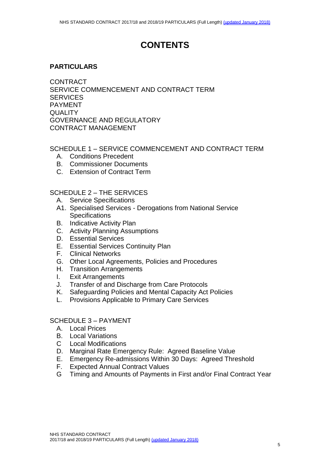# **CONTENTS**

#### **PARTICULARS**

CONTRACT SERVICE COMMENCEMENT AND CONTRACT TERM **SERVICES** PAYMENT **QUALITY** GOVERNANCE AND REGULATORY CONTRACT MANAGEMENT

#### SCHEDULE 1 – SERVICE COMMENCEMENT AND CONTRACT TERM

- A. [Conditions Precedent](#page-13-0)
- B. [Commissioner Documents](#page-14-0)
- C. Extension of Contract Term

#### SCHEDULE 2 – [THE SERVICES](#page-16-0)

- A. [Service Specifications](#page-16-1)
- A1. Specialised Services Derogations from National Service **Specifications**
- B. [Indicative Activity Plan](#page-19-0)
- C. [Activity Planning Assumptions](#page-20-0)
- D. [Essential Services](#page-21-0)
- E. [Essential Services Continuity Plan](#page-22-0)
- F. [Clinical Networks](#page-23-0)
- G. Other [Local Agreements, Policies and Procedures](#page-24-0)
- H. [Transition Arrangements](#page-25-0)
- I. [Exit Arrangements](#page-26-0)
- J. [Transfer of and Discharge from Care Protocols](#page-27-0)
- K. [Safeguarding Policies](#page-28-0) and Mental Capacity Act Policies
- L. Provisions Applicable to Primary Care Services

#### SCHEDULE 3 – PAYMENT

- A. Local Prices
- B. Local Variations
- C Local Modifications
- D. Marginal Rate Emergency Rule: Agreed Baseline Value
- E. Emergency Re-admissions Within 30 Days: Agreed Threshold
- F. Expected Annual Contract Values
- G Timing and Amounts of Payments in First and/or Final Contract Year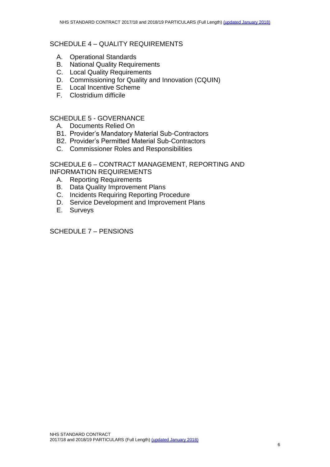- A. Operational Standards
- B. [National Quality Requirements](#page-50-0)
- C. Local Quality Requirements
- D. [Commissioning for Quality and Innovation \(CQUIN\)](#page-51-0)
- E. [Local Incentive Scheme](#page-52-0)
- F. Clostridium difficile

#### SCHEDULE 5 - GOVERNANCE

- A. Documents Relied On
- B1. Provider's Mandatory Material Sub-Contractors
- B2. Provider's Permitted Material Sub-Contractors
- C. [Commissioner Roles and Responsibilities](#page-57-0)

SCHEDULE 6 – CONTRACT MANAGEMENT, REPORTING AND INFORMATION REQUIREMENTS

- A. [Reporting Requirements](#page-58-0)
- B. [Data Quality Improvement Plans](#page-61-0)
- C. [Incidents Requiring Reporting Procedure](#page-62-0)
- D. [Service Development and Improvement Plans](#page-63-0)
- E. [Surveys](#page-64-0)

SCHEDULE 7 – PENSIONS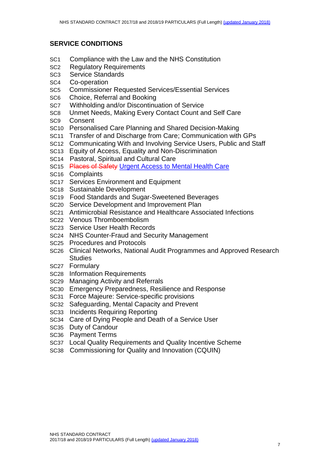#### **SERVICE CONDITIONS**

- SC1 Compliance with the Law and the NHS Constitution
- SC2 Regulatory Requirements
- SC3 Service Standards
- SC4 Co-operation
- SC5 Commissioner Requested Services/Essential Services
- SC6 Choice, Referral and Booking
- SC7 Withholding and/or Discontinuation of Service
- SC8 Unmet Needs, Making Every Contact Count and Self Care
- SC9 Consent
- SC10 Personalised Care Planning and Shared Decision-Making
- SC11 Transfer of and Discharge from Care; Communication with GPs
- SC12 Communicating With and Involving Service Users, Public and Staff
- SC13 Equity of Access, Equality and Non-Discrimination
- SC14 Pastoral, Spiritual and Cultural Care
- SC15 Places of Safety Urgent Access to Mental Health Care
- SC16 Complaints
- SC17 Services Environment and Equipment
- SC18 Sustainable Development
- SC19 Food Standards and Sugar-Sweetened Beverages
- SC20 Service Development and Improvement Plan
- SC21 Antimicrobial Resistance and Healthcare Associated Infections
- SC22 Venous Thromboembolism
- SC23 Service User Health Records
- SC24 NHS Counter-Fraud and Security Management
- SC25 Procedures and Protocols
- SC26 Clinical Networks, National Audit Programmes and Approved Research **Studies**
- SC27 Formulary
- SC28 Information Requirements
- SC29 Managing Activity and Referrals
- SC30 Emergency Preparedness, Resilience and Response
- SC31 Force Majeure: Service-specific provisions
- SC32 Safeguarding, Mental Capacity and Prevent
- SC33 Incidents Requiring Reporting
- SC34 Care of Dying People and Death of a Service User
- SC35 Duty of Candour
- SC36 Payment Terms
- SC37 Local Quality Requirements and Quality Incentive Scheme
- SC38 Commissioning for Quality and Innovation (CQUIN)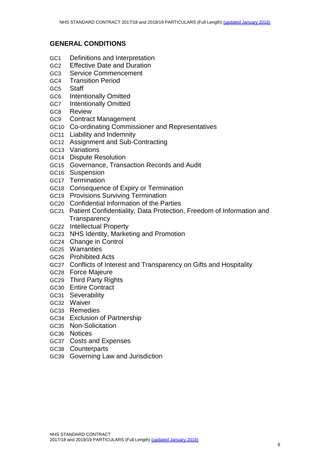#### **GENERAL CONDITIONS**

- GC1 Definitions and Interpretation
- GC2 Effective Date and Duration
- GC3 Service Commencement
- GC4 Transition Period
- GC5 Staff
- GC6 Intentionally Omitted
- GC7 Intentionally Omitted
- GC8 Review
- GC9 Contract Management
- GC10 Co-ordinating Commissioner and Representatives
- GC11 Liability and Indemnity
- GC12 Assignment and Sub-Contracting
- GC13 Variations
- GC14 Dispute Resolution
- GC15 Governance, Transaction Records and Audit
- GC16 Suspension
- GC17 Termination
- GC18 Consequence of Expiry or Termination
- GC19 Provisions Surviving Termination
- GC20 Confidential Information of the Parties
- GC21 Patient Confidentiality, Data Protection, Freedom of Information and **Transparency**
- GC22 Intellectual Property
- GC23 NHS Identity, Marketing and Promotion
- GC24 Change in Control
- GC25 Warranties
- GC26 Prohibited Acts
- GC27 Conflicts of Interest and Transparency on Gifts and Hospitality
- GC28 Force Majeure
- GC29 Third Party Rights
- GC30 Entire Contract
- GC31 Severability
- GC32 Waiver
- GC33 Remedies
- GC34 Exclusion of Partnership
- GC35 Non-Solicitation
- GC36 Notices
- GC37 Costs and Expenses
- GC38 Counterparts
- GC39 Governing Law and Jurisdiction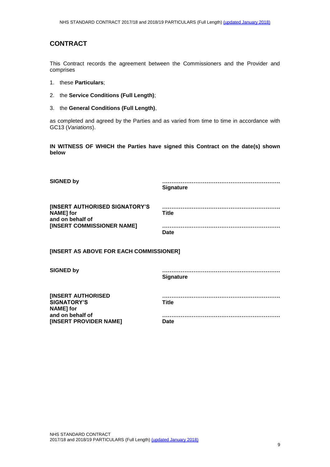#### **CONTRACT**

This Contract records the agreement between the Commissioners and the Provider and comprises

- 1. these **Particulars**;
- 2. the **Service Conditions (Full Length)**;
- 3. the **General Conditions (Full Length)**,

as completed and agreed by the Parties and as varied from time to time in accordance with GC13 (*Variations*).

**IN WITNESS OF WHICH the Parties have signed this Contract on the date(s) shown below**

| <b>SIGNED by</b>                                                                                     | <b>Signature</b>            |  |  |
|------------------------------------------------------------------------------------------------------|-----------------------------|--|--|
| [INSERT AUTHORISED SIGNATORY'S<br><b>NAME]</b> for<br>and on behalf of<br>[INSERT COMMISSIONER NAME] | <b>Title</b><br><b>Date</b> |  |  |
| [INSERT AS ABOVE FOR EACH COMMISSIONER]                                                              |                             |  |  |
| <b>SIGNED by</b>                                                                                     | <b>Signature</b>            |  |  |
| <b>[INSERT AUTHORISED</b><br><b>SIGNATORY'S</b><br><b>NAME]</b> for                                  | <b>Title</b>                |  |  |
| and on behalf of<br>[INSERT PROVIDER NAME]                                                           | Date                        |  |  |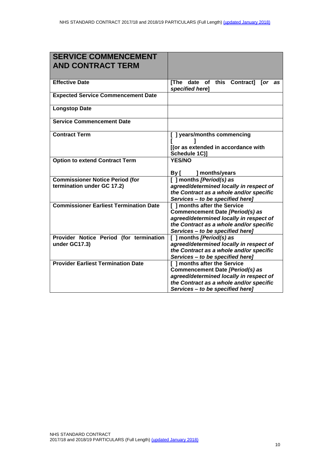| <b>SERVICE COMMENCEMENT</b><br><b>AND CONTRACT TERM</b>              |                                                                                                                                                                                           |  |
|----------------------------------------------------------------------|-------------------------------------------------------------------------------------------------------------------------------------------------------------------------------------------|--|
| <b>Effective Date</b>                                                | [The date of this Contract]<br>for as<br>specified here]                                                                                                                                  |  |
| <b>Expected Service Commencement Date</b>                            |                                                                                                                                                                                           |  |
| <b>Longstop Date</b>                                                 |                                                                                                                                                                                           |  |
| <b>Service Commencement Date</b>                                     |                                                                                                                                                                                           |  |
| <b>Contract Term</b>                                                 | [ ] years/months commencing<br>[(or as extended in accordance with<br>Schedule 1C)]                                                                                                       |  |
| <b>Option to extend Contract Term</b>                                | <b>YES/NO</b><br>] months/years<br>By [                                                                                                                                                   |  |
| <b>Commissioner Notice Period (for</b><br>termination under GC 17.2) | [ ] months [Period(s) as<br>agreed/determined locally in respect of<br>the Contract as a whole and/or specific<br>Services - to be specified here]                                        |  |
| <b>Commissioner Earliest Termination Date</b>                        | [ ] months after the Service<br>Commencement Date [Period(s) as<br>agreed/determined locally in respect of<br>the Contract as a whole and/or specific<br>Services - to be specified here] |  |
| Provider Notice Period (for termination<br>under GC17.3)             | [ ] months [Period(s) as<br>agreed/determined locally in respect of<br>the Contract as a whole and/or specific<br>Services - to be specified here]                                        |  |
| <b>Provider Earliest Termination Date</b>                            | [ ] months after the Service<br>Commencement Date [Period(s) as<br>agreed/determined locally in respect of<br>the Contract as a whole and/or specific<br>Services - to be specified here] |  |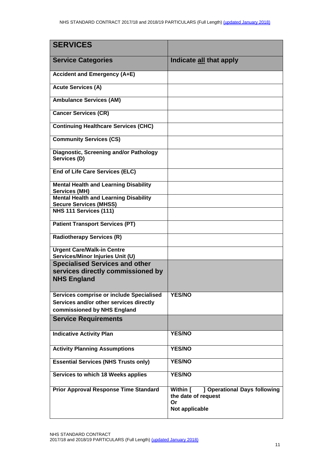| <b>SERVICES</b>                                                                                                    |                                                                                         |
|--------------------------------------------------------------------------------------------------------------------|-----------------------------------------------------------------------------------------|
| <b>Service Categories</b>                                                                                          | Indicate all that apply                                                                 |
| <b>Accident and Emergency (A+E)</b>                                                                                |                                                                                         |
| <b>Acute Services (A)</b>                                                                                          |                                                                                         |
| <b>Ambulance Services (AM)</b>                                                                                     |                                                                                         |
| <b>Cancer Services (CR)</b>                                                                                        |                                                                                         |
| <b>Continuing Healthcare Services (CHC)</b>                                                                        |                                                                                         |
| <b>Community Services (CS)</b>                                                                                     |                                                                                         |
| Diagnostic, Screening and/or Pathology<br>Services (D)                                                             |                                                                                         |
| <b>End of Life Care Services (ELC)</b>                                                                             |                                                                                         |
| <b>Mental Health and Learning Disability</b><br><b>Services (MH)</b>                                               |                                                                                         |
| <b>Mental Health and Learning Disability</b><br><b>Secure Services (MHSS)</b>                                      |                                                                                         |
| NHS 111 Services (111)                                                                                             |                                                                                         |
| <b>Patient Transport Services (PT)</b>                                                                             |                                                                                         |
| <b>Radiotherapy Services (R)</b>                                                                                   |                                                                                         |
| <b>Urgent Care/Walk-in Centre</b><br>Services/Minor Injuries Unit (U)                                              |                                                                                         |
| <b>Specialised Services and other</b><br>services directly commissioned by<br><b>NHS England</b>                   |                                                                                         |
| Services comprise or include Specialised<br>Services and/or other services directly<br>commissioned by NHS England | <b>YES/NO</b>                                                                           |
| <b>Service Requirements</b>                                                                                        |                                                                                         |
| <b>Indicative Activity Plan</b>                                                                                    | <b>YES/NO</b>                                                                           |
| <b>Activity Planning Assumptions</b>                                                                               | <b>YES/NO</b>                                                                           |
| <b>Essential Services (NHS Trusts only)</b>                                                                        | <b>YES/NO</b>                                                                           |
| Services to which 18 Weeks applies                                                                                 | <b>YES/NO</b>                                                                           |
| <b>Prior Approval Response Time Standard</b>                                                                       | ] Operational Days following<br>Within [<br>the date of request<br>Or<br>Not applicable |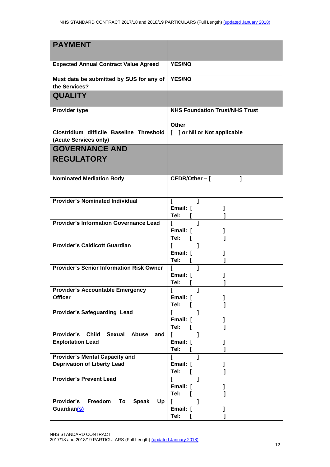| <b>PAYMENT</b>                                                                                   |                                       |  |
|--------------------------------------------------------------------------------------------------|---------------------------------------|--|
|                                                                                                  |                                       |  |
| <b>Expected Annual Contract Value Agreed</b>                                                     | <b>YES/NO</b>                         |  |
| Must data be submitted by SUS for any of<br>the Services?                                        | <b>YES/NO</b>                         |  |
| <b>QUALITY</b>                                                                                   |                                       |  |
| <b>Provider type</b>                                                                             | <b>NHS Foundation Trust/NHS Trust</b> |  |
|                                                                                                  | Other                                 |  |
| Clostridium difficile Baseline Threshold   [ ] or Nil or Not applicable<br>(Acute Services only) |                                       |  |
| <b>GOVERNANCE AND</b>                                                                            |                                       |  |
| <b>REGULATORY</b>                                                                                |                                       |  |
| <b>Nominated Mediation Body</b>                                                                  | $\mathbf{I}$<br>CEDR/Other-[          |  |
| <b>Provider's Nominated Individual</b>                                                           |                                       |  |
|                                                                                                  | Email: [<br>Tel:                      |  |
| <b>Provider's Information Governance Lead</b>                                                    | L<br>$\overline{1}$<br>$\mathbf{I}$   |  |
|                                                                                                  | Email: [                              |  |
| <b>Provider's Caldicott Guardian</b>                                                             | Tel:<br>1<br>L                        |  |
|                                                                                                  | Email: [                              |  |
|                                                                                                  | Tel:<br>Т.                            |  |
| <b>Provider's Senior Information Risk Owner</b>                                                  | 1<br>Email: [                         |  |
|                                                                                                  | Tel:                                  |  |
| <b>Provider's Accountable Emergency</b>                                                          |                                       |  |
| <b>Officer</b>                                                                                   | Email: [                              |  |
| <b>Provider's Safeguarding Lead</b>                                                              | Tel:<br>ı                             |  |
|                                                                                                  | Email: [                              |  |
|                                                                                                  | Tel:                                  |  |
| Provider's<br><b>Child</b><br><b>Sexual</b><br>Abuse<br>and<br><b>Exploitation Lead</b>          | L<br>Email: [                         |  |
|                                                                                                  | Tel:                                  |  |
| <b>Provider's Mental Capacity and</b>                                                            |                                       |  |
| <b>Deprivation of Liberty Lead</b>                                                               | Email: [<br>Tel:                      |  |
| <b>Provider's Prevent Lead</b>                                                                   | 1                                     |  |
|                                                                                                  | Email: [                              |  |
|                                                                                                  | Tel:                                  |  |
| Freedom<br>Provider's<br><b>Speak</b><br>To<br>Up<br>Guardian(s)                                 | Email: [                              |  |
|                                                                                                  | Tel:                                  |  |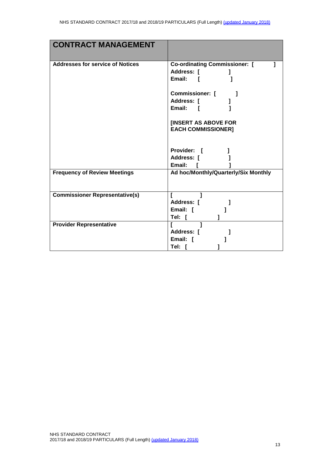| <b>CONTRACT MANAGEMENT</b>              |                                                    |
|-----------------------------------------|----------------------------------------------------|
|                                         |                                                    |
| <b>Addresses for service of Notices</b> | <b>Co-ordinating Commissioner:</b> [<br>Address: [ |
|                                         | Email: [                                           |
|                                         |                                                    |
|                                         | <b>Commissioner:</b> [                             |
|                                         | Address: [                                         |
|                                         | Email: [                                           |
|                                         | <b>IINSERT AS ABOVE FOR</b>                        |
|                                         | <b>EACH COMMISSIONER]</b>                          |
|                                         |                                                    |
|                                         | Provider: [                                        |
|                                         | Address: [                                         |
|                                         | Email: [                                           |
| <b>Frequency of Review Meetings</b>     | Ad hoc/Monthly/Quarterly/Six Monthly               |
|                                         |                                                    |
| <b>Commissioner Representative(s)</b>   |                                                    |
|                                         | Address: [                                         |
|                                         | Email: [                                           |
|                                         | Tel: [                                             |
| <b>Provider Representative</b>          | $\mathbf{I}$<br>L<br>Address: [                    |
|                                         | Email: [                                           |
|                                         | Tel: [                                             |
|                                         |                                                    |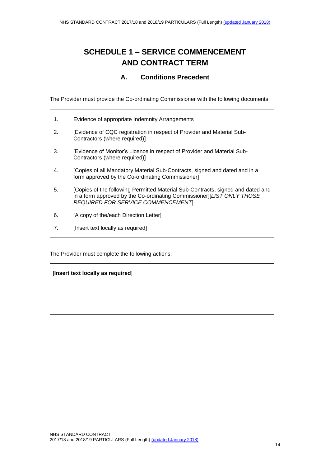# **SCHEDULE 1 – SERVICE COMMENCEMENT AND CONTRACT TERM**

#### **A. Conditions Precedent**

<span id="page-13-0"></span>The Provider must provide the Co-ordinating Commissioner with the following documents:

| 1. | Evidence of appropriate Indemnity Arrangements                                                                                                                                                       |
|----|------------------------------------------------------------------------------------------------------------------------------------------------------------------------------------------------------|
| 2. | [Evidence of CQC registration in respect of Provider and Material Sub-<br>Contractors (where required)]                                                                                              |
| 3. | [Evidence of Monitor's Licence in respect of Provider and Material Sub-<br>Contractors (where required)]                                                                                             |
| 4. | [Copies of all Mandatory Material Sub-Contracts, signed and dated and in a<br>form approved by the Co-ordinating Commissioner]                                                                       |
| 5. | [Copies of the following Permitted Material Sub-Contracts, signed and dated and<br>in a form approved by the Co-ordinating Commissioner][LIST ONLY THOSE<br><b>REQUIRED FOR SERVICE COMMENCEMENT</b> |
| 6. | [A copy of the/each Direction Letter]                                                                                                                                                                |
| 7. | [Insert text locally as required]                                                                                                                                                                    |

The Provider must complete the following actions:

[**Insert text locally as required**]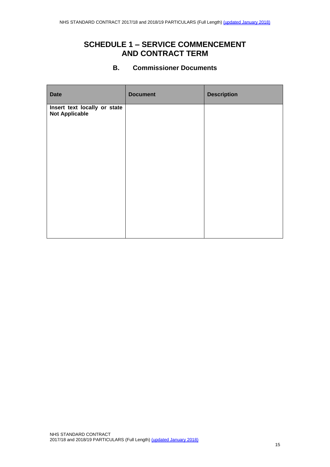### **SCHEDULE 1 – SERVICE COMMENCEMENT AND CONTRACT TERM**

#### **B. Commissioner Documents**

<span id="page-14-0"></span>

| <b>Date</b>                                           | <b>Document</b> | <b>Description</b> |
|-------------------------------------------------------|-----------------|--------------------|
| Insert text locally or state<br><b>Not Applicable</b> |                 |                    |
|                                                       |                 |                    |
|                                                       |                 |                    |
|                                                       |                 |                    |
|                                                       |                 |                    |
|                                                       |                 |                    |
|                                                       |                 |                    |
|                                                       |                 |                    |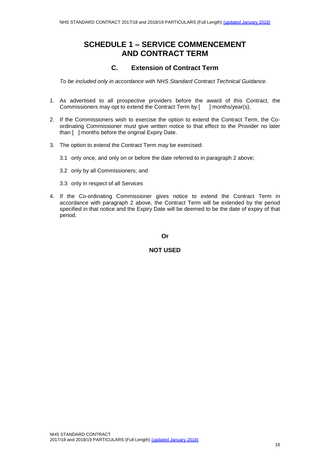### **SCHEDULE 1 – SERVICE COMMENCEMENT AND CONTRACT TERM**

#### **C. Extension of Contract Term**

*To be included only in accordance with NHS Standard Contract Technical Guidance.*

- 1. As advertised to all prospective providers before the award of this Contract, the Commissioners may opt to extend the Contract Term by [ ] months/year(s).
- 2. If the Commissioners wish to exercise the option to extend the Contract Term, the Coordinating Commissioner must give written notice to that effect to the Provider no later than [ ] months before the original Expiry Date.
- 3. The option to extend the Contract Term may be exercised:
	- 3.1 only once, and only on or before the date referred to in paragraph 2 above;
	- 3.2 only by all Commissioners; and
	- 3.3 only in respect of all Services
- 4. If the Co-ordinating Commissioner gives notice to extend the Contract Term in accordance with paragraph 2 above, the Contract Term will be extended by the period specified in that notice and the Expiry Date will be deemed to be the date of expiry of that period.

**Or**

**NOT USED**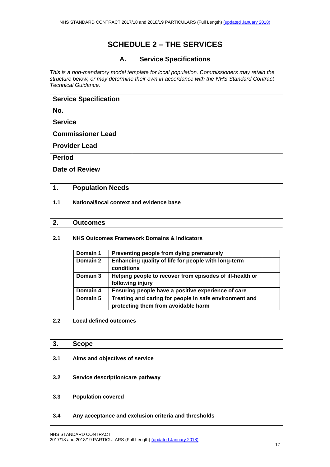#### **A. Service Specifications**

<span id="page-16-1"></span><span id="page-16-0"></span>*This is a non-mandatory model template for local population. Commissioners may retain the structure below, or may determine their own in accordance with the NHS Standard Contract Technical Guidance.* 

| <b>Service Specification</b> |  |
|------------------------------|--|
| No.                          |  |
| <b>Service</b>               |  |
| <b>Commissioner Lead</b>     |  |
| <b>Provider Lead</b>         |  |
| <b>Period</b>                |  |
| <b>Date of Review</b>        |  |

# **1. Population Needs 1.1 National/local context and evidence base 2. Outcomes 2.1 NHS Outcomes Framework Domains & Indicators Domain 1 Preventing people from dying prematurely Domain 2 Enhancing quality of life for people with long-term conditions Domain 3 Helping people to recover from episodes of ill-health or following injury Domain 4 Ensuring people have a positive experience of care Domain 5 Treating and caring for people in safe environment and protecting them from avoidable harm 2.2 Local defined outcomes 3. Scope 3.1 Aims and objectives of service 3.2 Service description/care pathway 3.3 Population covered**

**3.4 Any acceptance and exclusion criteria and thresholds**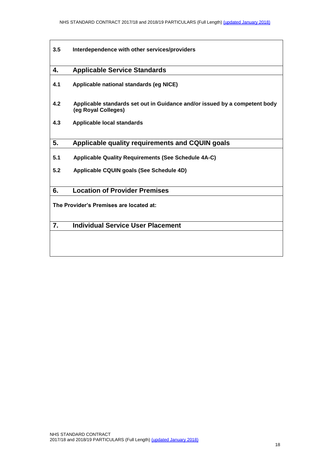| 3.5 | Interdependence with other services/providers                                                     |
|-----|---------------------------------------------------------------------------------------------------|
| 4.  | <b>Applicable Service Standards</b>                                                               |
| 4.1 | Applicable national standards (eg NICE)                                                           |
| 4.2 | Applicable standards set out in Guidance and/or issued by a competent body<br>(eg Royal Colleges) |
| 4.3 | <b>Applicable local standards</b>                                                                 |
| 5.  | Applicable quality requirements and CQUIN goals                                                   |
| 5.1 | <b>Applicable Quality Requirements (See Schedule 4A-C)</b>                                        |
| 5.2 | Applicable CQUIN goals (See Schedule 4D)                                                          |
| 6.  | <b>Location of Provider Premises</b>                                                              |
|     | The Provider's Premises are located at:                                                           |
| 7.  | <b>Individual Service User Placement</b>                                                          |
|     |                                                                                                   |
|     |                                                                                                   |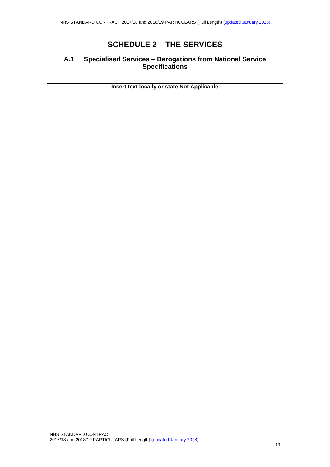#### **A.1 Specialised Services – Derogations from National Service Specifications**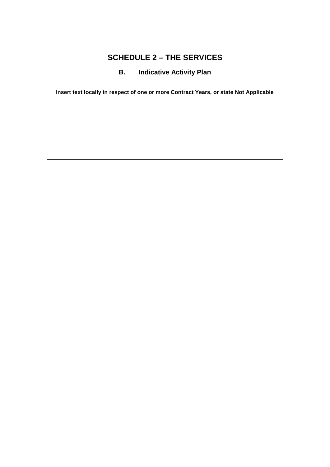### **B. Indicative Activity Plan**

<span id="page-19-0"></span>**Insert text locally in respect of one or more Contract Years, or state Not Applicable**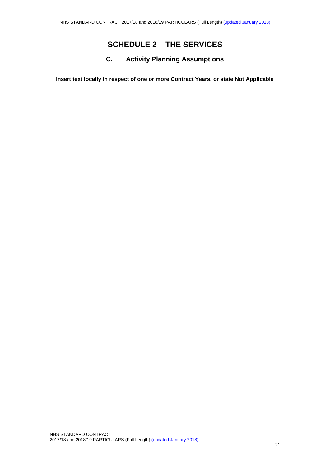#### **C. Activity Planning Assumptions**

<span id="page-20-0"></span>**Insert text locally in respect of one or more Contract Years, or state Not Applicable**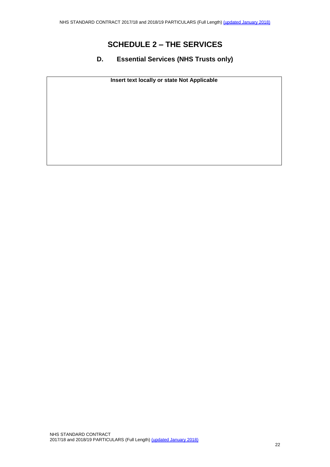#### <span id="page-21-0"></span>**D. Essential Services (NHS Trusts only)**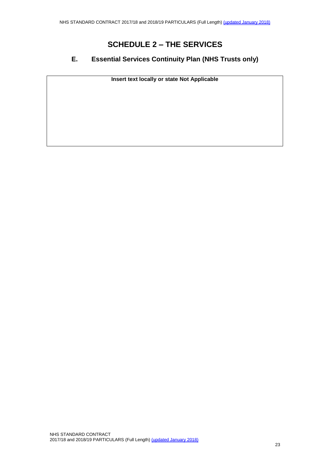#### <span id="page-22-0"></span>**E. Essential Services Continuity Plan (NHS Trusts only)**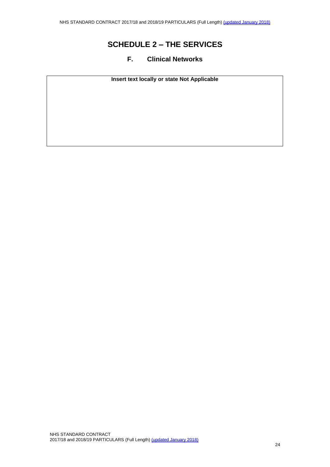#### <span id="page-23-0"></span>**F. Clinical Networks**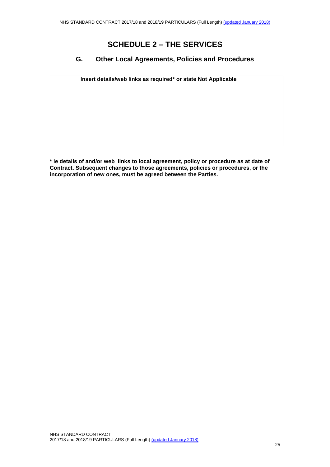#### <span id="page-24-0"></span>**G. Other Local Agreements, Policies and Procedures**

**Insert details/web links as required\* or state Not Applicable**

**\* ie details of and/or web links to local agreement, policy or procedure as at date of Contract. Subsequent changes to those agreements, policies or procedures, or the incorporation of new ones, must be agreed between the Parties.**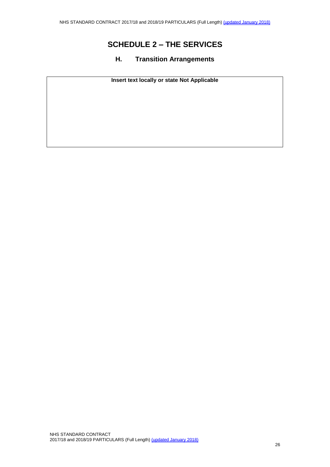# <span id="page-25-0"></span>**H. Transition Arrangements**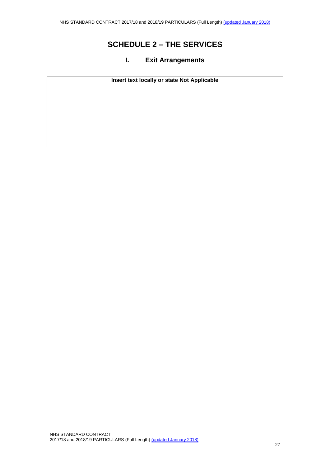#### <span id="page-26-0"></span>**I. Exit Arrangements**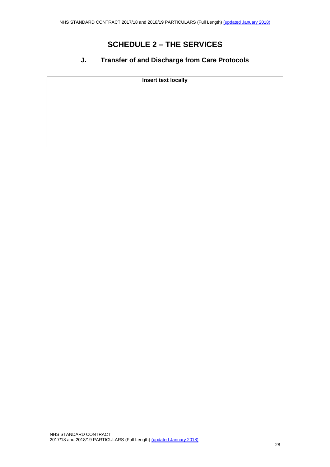#### <span id="page-27-0"></span>**J. Transfer of and Discharge from Care Protocols**

**Insert text locally**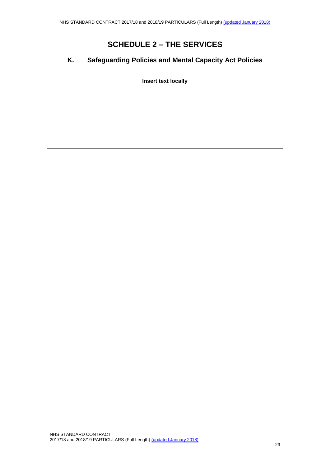### <span id="page-28-0"></span>**K. Safeguarding Policies and Mental Capacity Act Policies**

**Insert text locally**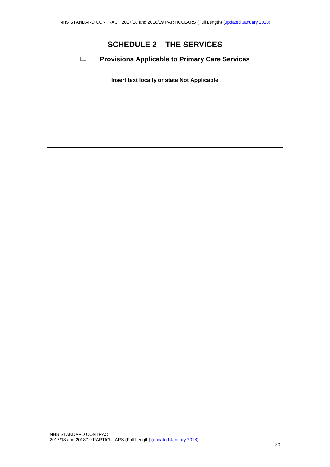#### **L. Provisions Applicable to Primary Care Services**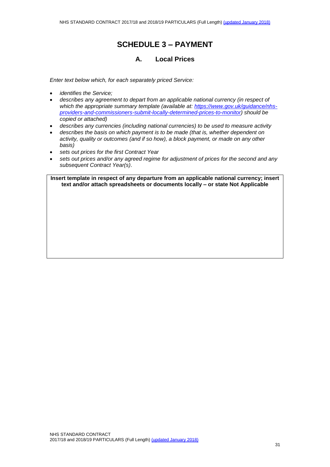#### **A. Local Prices**

*Enter text below which, for each separately priced Service:*

- *identifies the Service;*
- *describes any agreement to depart from an applicable national currency (in respect of which the appropriate summary template (available at: [https://www.gov.uk/guidance/nhs](https://www.gov.uk/guidance/nhs-providers-and-commissioners-submit-locally-determined-prices-to-monitor)[providers-and-commissioners-submit-locally-determined-prices-to-monitor\)](https://www.gov.uk/guidance/nhs-providers-and-commissioners-submit-locally-determined-prices-to-monitor) should be copied or attached)*
- *describes any currencies (including national currencies) to be used to measure activity*
- *describes the basis on which payment is to be made (that is, whether dependent on activity, quality or outcomes (and if so how), a block payment, or made on any other basis)*
- *sets out prices for the first Contract Year*
- *sets out prices and/or any agreed regime for adjustment of prices for the second and any subsequent Contract Year(s)*.

**Insert template in respect of any departure from an applicable national currency; insert text and/or attach spreadsheets or documents locally – or state Not Applicable**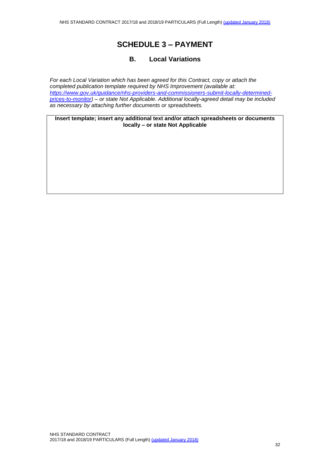#### **B. Local Variations**

*For each Local Variation which has been agreed for this Contract, copy or attach the completed publication template required by NHS Improvement (available at: [https://www.gov.uk/guidance/nhs-providers-and-commissioners-submit-locally-determined](https://www.gov.uk/guidance/nhs-providers-and-commissioners-submit-locally-determined-prices-to-monitor)[prices-to-monitor\)](https://www.gov.uk/guidance/nhs-providers-and-commissioners-submit-locally-determined-prices-to-monitor) – or state Not Applicable. Additional locally-agreed detail may be included as necessary by attaching further documents or spreadsheets.*

**Insert template; insert any additional text and/or attach spreadsheets or documents locally – or state Not Applicable**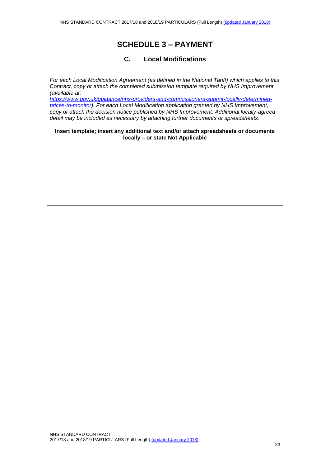#### **C. Local Modifications**

*For each Local Modification Agreement (as defined in the National Tariff) which applies to this Contract, copy or attach the completed submission template required by NHS Improvement (available at:*

*[https://www.gov.uk/guidance/nhs-providers-and-commissioners-submit-locally-determined](https://www.gov.uk/guidance/nhs-providers-and-commissioners-submit-locally-determined-prices-to-monitor)[prices-to-monitor\)](https://www.gov.uk/guidance/nhs-providers-and-commissioners-submit-locally-determined-prices-to-monitor). For each Local Modification application granted by NHS Improvement, copy or attach the decision notice published by NHS Improvement. Additional locally-agreed detail may be included as necessary by attaching further documents or spreadsheets*.

**Insert template; insert any additional text and/or attach spreadsheets or documents locally – or state Not Applicable**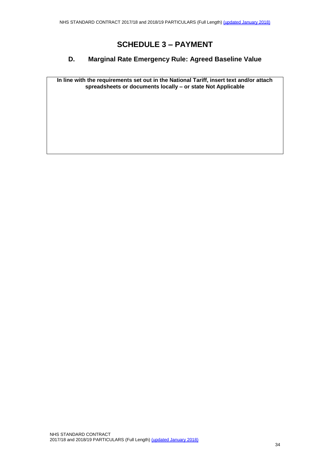#### **D. Marginal Rate Emergency Rule: Agreed Baseline Value**

**In line with the requirements set out in the National Tariff, insert text and/or attach spreadsheets or documents locally – or state Not Applicable**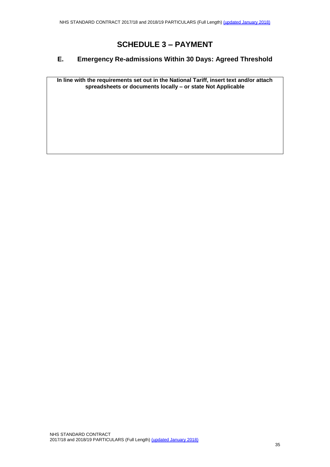#### **E. Emergency Re-admissions Within 30 Days: Agreed Threshold**

**In line with the requirements set out in the National Tariff, insert text and/or attach spreadsheets or documents locally – or state Not Applicable**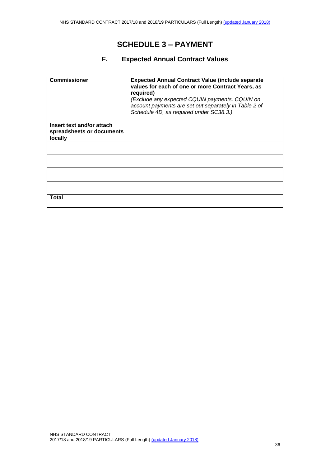#### **F. Expected Annual Contract Values**

| <b>Commissioner</b>                                               | <b>Expected Annual Contract Value (include separate)</b><br>values for each of one or more Contract Years, as<br>required)<br>(Exclude any expected CQUIN payments. CQUIN on<br>account payments are set out separately in Table 2 of<br>Schedule 4D, as required under SC38.3.) |
|-------------------------------------------------------------------|----------------------------------------------------------------------------------------------------------------------------------------------------------------------------------------------------------------------------------------------------------------------------------|
| Insert text and/or attach<br>spreadsheets or documents<br>locally |                                                                                                                                                                                                                                                                                  |
|                                                                   |                                                                                                                                                                                                                                                                                  |
|                                                                   |                                                                                                                                                                                                                                                                                  |
|                                                                   |                                                                                                                                                                                                                                                                                  |
|                                                                   |                                                                                                                                                                                                                                                                                  |
| Total                                                             |                                                                                                                                                                                                                                                                                  |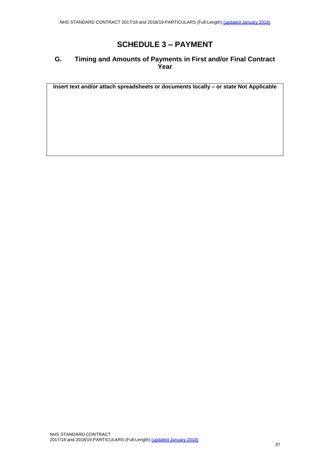#### **G. Timing and Amounts of Payments in First and/or Final Contract Year**

**Insert text and/or attach spreadsheets or documents locally – or state Not Applicable**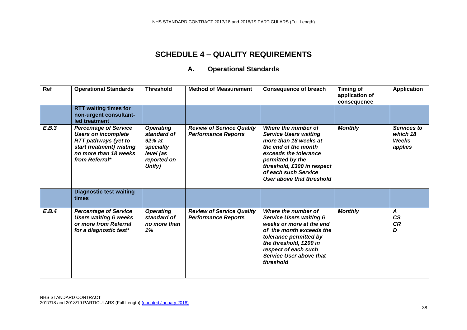#### **A. Operational Standards**

| $\overline{Ref}$ | <b>Operational Standards</b>                                                                                                                                     | <b>Threshold</b>                                                                                | <b>Method of Measurement</b>                                   | <b>Consequence of breach</b>                                                                                                                                                                                                         | <b>Timing of</b><br>application of<br>consequence | <b>Application</b>                          |
|------------------|------------------------------------------------------------------------------------------------------------------------------------------------------------------|-------------------------------------------------------------------------------------------------|----------------------------------------------------------------|--------------------------------------------------------------------------------------------------------------------------------------------------------------------------------------------------------------------------------------|---------------------------------------------------|---------------------------------------------|
|                  | <b>RTT waiting times for</b><br>non-urgent consultant-<br>led treatment                                                                                          |                                                                                                 |                                                                |                                                                                                                                                                                                                                      |                                                   |                                             |
| E.B.3            | <b>Percentage of Service</b><br><b>Users on incomplete</b><br><b>RTT pathways (yet to</b><br>start treatment) waiting<br>no more than 18 weeks<br>from Referral* | <b>Operating</b><br>standard of<br>$92\%$ at<br>specialty<br>level (as<br>reported on<br>Unify) | <b>Review of Service Quality</b><br><b>Performance Reports</b> | Where the number of<br><b>Service Users waiting</b><br>more than 18 weeks at<br>the end of the month<br>exceeds the tolerance<br>permitted by the<br>threshold, £300 in respect<br>of each such Service<br>User above that threshold | <b>Monthly</b>                                    | Services to<br>which 18<br>Weeks<br>applies |
|                  | <b>Diagnostic test waiting</b><br>times                                                                                                                          |                                                                                                 |                                                                |                                                                                                                                                                                                                                      |                                                   |                                             |
| E.B.4            | <b>Percentage of Service</b><br><b>Users waiting 6 weeks</b><br>or more from Referral<br>for a diagnostic test*                                                  | <b>Operating</b><br>standard of<br>no more than<br>1%                                           | <b>Review of Service Quality</b><br><b>Performance Reports</b> | Where the number of<br><b>Service Users waiting 6</b><br>weeks or more at the end<br>of the month exceeds the<br>tolerance permitted by<br>the threshold, £200 in<br>respect of each such<br>Service User above that<br>threshold    | <b>Monthly</b>                                    | A<br>CS<br><b>CR</b><br>D                   |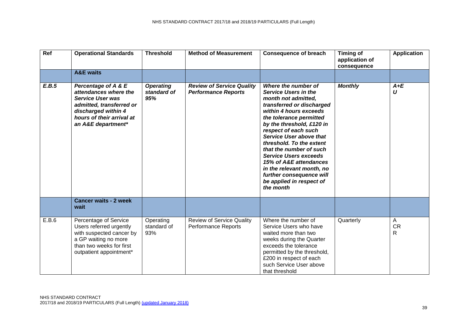| <b>Ref</b> | <b>Operational Standards</b>                                                                                                                                                  | <b>Threshold</b>                       | <b>Method of Measurement</b>                                   | <b>Consequence of breach</b>                                                                                                                                                                                                                                                                                                                                                                                                                                          | <b>Timing of</b><br>application of<br>consequence | <b>Application</b>   |
|------------|-------------------------------------------------------------------------------------------------------------------------------------------------------------------------------|----------------------------------------|----------------------------------------------------------------|-----------------------------------------------------------------------------------------------------------------------------------------------------------------------------------------------------------------------------------------------------------------------------------------------------------------------------------------------------------------------------------------------------------------------------------------------------------------------|---------------------------------------------------|----------------------|
|            | <b>A&amp;E</b> waits                                                                                                                                                          |                                        |                                                                |                                                                                                                                                                                                                                                                                                                                                                                                                                                                       |                                                   |                      |
| E.B.5      | Percentage of A & E<br>attendances where the<br><b>Service User was</b><br>admitted, transferred or<br>discharged within 4<br>hours of their arrival at<br>an A&E department* | <b>Operating</b><br>standard of<br>95% | <b>Review of Service Quality</b><br><b>Performance Reports</b> | Where the number of<br><b>Service Users in the</b><br>month not admitted,<br>transferred or discharged<br>within 4 hours exceeds<br>the tolerance permitted<br>by the threshold, £120 in<br>respect of each such<br><b>Service User above that</b><br>threshold. To the extent<br>that the number of such<br><b>Service Users exceeds</b><br>15% of A&E attendances<br>in the relevant month, no<br>further consequence will<br>be applied in respect of<br>the month | <b>Monthly</b>                                    | $A+E$<br>U           |
|            | <b>Cancer waits - 2 week</b><br>wait                                                                                                                                          |                                        |                                                                |                                                                                                                                                                                                                                                                                                                                                                                                                                                                       |                                                   |                      |
| E.B.6      | Percentage of Service<br>Users referred urgently<br>with suspected cancer by<br>a GP waiting no more<br>than two weeks for first<br>outpatient appointment*                   | Operating<br>standard of<br>93%        | <b>Review of Service Quality</b><br><b>Performance Reports</b> | Where the number of<br>Service Users who have<br>waited more than two<br>weeks during the Quarter<br>exceeds the tolerance<br>permitted by the threshold,<br>£200 in respect of each<br>such Service User above<br>that threshold                                                                                                                                                                                                                                     | Quarterly                                         | A<br><b>CR</b><br>R. |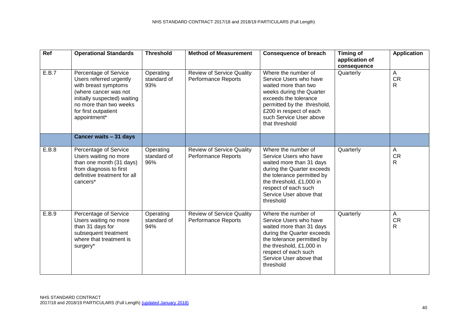| Ref   | <b>Operational Standards</b>                                                                                                                                                                        | <b>Threshold</b>                | <b>Method of Measurement</b>                                   | <b>Consequence of breach</b>                                                                                                                                                                                                      | <b>Timing of</b><br>application of<br>consequence | <b>Application</b>                        |
|-------|-----------------------------------------------------------------------------------------------------------------------------------------------------------------------------------------------------|---------------------------------|----------------------------------------------------------------|-----------------------------------------------------------------------------------------------------------------------------------------------------------------------------------------------------------------------------------|---------------------------------------------------|-------------------------------------------|
| E.B.7 | Percentage of Service<br>Users referred urgently<br>with breast symptoms<br>(where cancer was not<br>initially suspected) waiting<br>no more than two weeks<br>for first outpatient<br>appointment* | Operating<br>standard of<br>93% | <b>Review of Service Quality</b><br><b>Performance Reports</b> | Where the number of<br>Service Users who have<br>waited more than two<br>weeks during the Quarter<br>exceeds the tolerance<br>permitted by the threshold,<br>£200 in respect of each<br>such Service User above<br>that threshold | Quarterly                                         | A<br>CR<br>R                              |
|       | Cancer waits - 31 days                                                                                                                                                                              |                                 |                                                                |                                                                                                                                                                                                                                   |                                                   |                                           |
| E.B.8 | Percentage of Service<br>Users waiting no more<br>than one month (31 days)<br>from diagnosis to first<br>definitive treatment for all<br>cancers*                                                   | Operating<br>standard of<br>96% | <b>Review of Service Quality</b><br>Performance Reports        | Where the number of<br>Service Users who have<br>waited more than 31 days<br>during the Quarter exceeds<br>the tolerance permitted by<br>the threshold, £1,000 in<br>respect of each such<br>Service User above that<br>threshold | Quarterly                                         | $\mathsf{A}$<br><b>CR</b><br>R            |
| E.B.9 | Percentage of Service<br>Users waiting no more<br>than 31 days for<br>subsequent treatment<br>where that treatment is<br>surgery*                                                                   | Operating<br>standard of<br>94% | <b>Review of Service Quality</b><br><b>Performance Reports</b> | Where the number of<br>Service Users who have<br>waited more than 31 days<br>during the Quarter exceeds<br>the tolerance permitted by<br>the threshold, £1,000 in<br>respect of each such<br>Service User above that<br>threshold | Quarterly                                         | $\overline{\mathsf{A}}$<br><b>CR</b><br>R |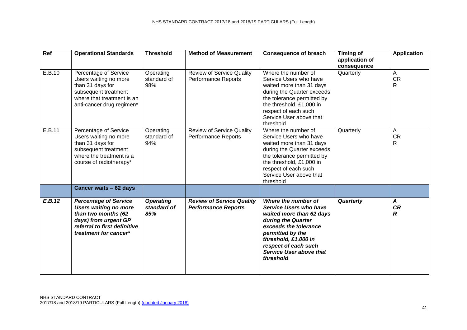| Ref    | <b>Operational Standards</b>                                                                                                                                         | <b>Threshold</b>                       | <b>Method of Measurement</b>                                   | <b>Consequence of breach</b>                                                                                                                                                                                                                | <b>Timing of</b><br>application of<br>consequence | <b>Application</b>                 |
|--------|----------------------------------------------------------------------------------------------------------------------------------------------------------------------|----------------------------------------|----------------------------------------------------------------|---------------------------------------------------------------------------------------------------------------------------------------------------------------------------------------------------------------------------------------------|---------------------------------------------------|------------------------------------|
| E.B.10 | Percentage of Service<br>Users waiting no more<br>than 31 days for<br>subsequent treatment<br>where that treatment is an<br>anti-cancer drug regimen*                | Operating<br>standard of<br>98%        | <b>Review of Service Quality</b><br>Performance Reports        | Where the number of<br>Service Users who have<br>waited more than 31 days<br>during the Quarter exceeds<br>the tolerance permitted by<br>the threshold, £1,000 in<br>respect of each such<br>Service User above that<br>threshold           | Quarterly                                         | $\mathsf{A}$<br><b>CR</b><br>R.    |
| E.B.11 | Percentage of Service<br>Users waiting no more<br>than 31 days for<br>subsequent treatment<br>where the treatment is a<br>course of radiotherapy*                    | Operating<br>standard of<br>94%        | <b>Review of Service Quality</b><br>Performance Reports        | Where the number of<br>Service Users who have<br>waited more than 31 days<br>during the Quarter exceeds<br>the tolerance permitted by<br>the threshold, £1,000 in<br>respect of each such<br>Service User above that<br>threshold           | Quarterly                                         | $\mathsf{A}$<br><b>CR</b><br>R     |
|        | Cancer waits - 62 days                                                                                                                                               |                                        |                                                                |                                                                                                                                                                                                                                             |                                                   |                                    |
| E.B.12 | <b>Percentage of Service</b><br><b>Users waiting no more</b><br>than two months (62<br>days) from urgent GP<br>referral to first definitive<br>treatment for cancer* | <b>Operating</b><br>standard of<br>85% | <b>Review of Service Quality</b><br><b>Performance Reports</b> | Where the number of<br>Service Users who have<br>waited more than 62 days<br>during the Quarter<br>exceeds the tolerance<br>permitted by the<br>threshold, £1,000 in<br>respect of each such<br><b>Service User above that</b><br>threshold | Quarterly                                         | $\boldsymbol{A}$<br><b>CR</b><br>R |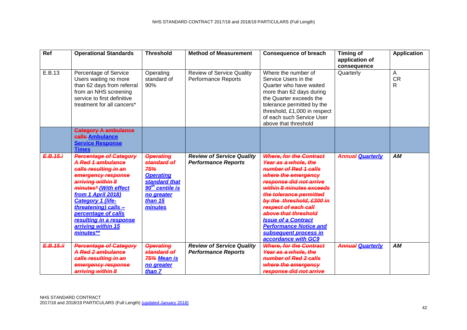| $\overline{Ref}$ | <b>Operational Standards</b>                                                                                                                                                                                                                                                                                  | <b>Threshold</b>                                                                                                                                      | <b>Method of Measurement</b>                                   | <b>Consequence of breach</b>                                                                                                                                                                                                                                                                                                                                                         | <b>Timing of</b><br>application of<br>consequence | <b>Application</b>  |
|------------------|---------------------------------------------------------------------------------------------------------------------------------------------------------------------------------------------------------------------------------------------------------------------------------------------------------------|-------------------------------------------------------------------------------------------------------------------------------------------------------|----------------------------------------------------------------|--------------------------------------------------------------------------------------------------------------------------------------------------------------------------------------------------------------------------------------------------------------------------------------------------------------------------------------------------------------------------------------|---------------------------------------------------|---------------------|
| E.B.13           | Percentage of Service<br>Users waiting no more<br>than 62 days from referral<br>from an NHS screening<br>service to first definitive<br>treatment for all cancers*                                                                                                                                            | Operating<br>standard of<br>90%                                                                                                                       | <b>Review of Service Quality</b><br><b>Performance Reports</b> | Where the number of<br>Service Users in the<br>Quarter who have waited<br>more than 62 days during<br>the Quarter exceeds the<br>tolerance permitted by the<br>threshold, £1,000 in respect<br>of each such Service User<br>above that threshold                                                                                                                                     | Quarterly                                         | A<br><b>CR</b><br>R |
|                  | Category A ambulance<br>calls-Ambulance<br><b>Service Response</b><br><b>Times</b>                                                                                                                                                                                                                            |                                                                                                                                                       |                                                                |                                                                                                                                                                                                                                                                                                                                                                                      |                                                   |                     |
| E.B.15.i         | <b>Percentage of Category</b><br>A Red 1 ambulance<br>calls resulting in an<br>emergency response<br>arriving within 8<br>minutes*(With effect<br>from 1 April 2018)<br><b>Category 1 (life-</b><br>threatening) calls -<br>percentage of calls<br>resulting in a response<br>arriving within 15<br>minutes** | <b>Operating</b><br>standard of<br>75%<br><b>Operating</b><br>standard that<br>90 <sup>th</sup> centile is<br>no greater<br><b>than 15</b><br>minutes | <b>Review of Service Quality</b><br><b>Performance Reports</b> | <b>Where, for the Contract</b><br>Year as a whole, the<br>number of Red 1 calls<br>where the emergency<br>response did not arrive<br>within 8 minutes exceeds<br>the tolerance permitted<br>by the threshold, £300 in<br>respect of each call<br>above that threshold<br><b>Issue of a Contract</b><br><b>Performance Notice and</b><br>subsequent process in<br>accordance with GC9 | <b>Annual Quarterly</b>                           | AМ                  |
| E.B.15.ii        | <b>Percentage of Category</b><br>A Red 2 ambulance<br>calls resulting in an<br>emergency response<br>arriving within 8                                                                                                                                                                                        | <b>Operating</b><br>standard of<br><del>75%</del> Mean is<br>no greater<br>than <b>7</b>                                                              | <b>Review of Service Quality</b><br><b>Performance Reports</b> | <b>Where, for the Contract</b><br>Year as a whole, the<br>number of Red 2 calls<br>where the emergency<br>response did not arrive                                                                                                                                                                                                                                                    | <b>Annual Quarterly</b>                           | AM                  |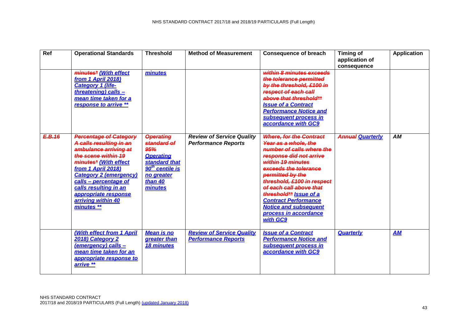| $\overline{Ref}$ | <b>Operational Standards</b>                                                                                                                                                                                                                                                                           | <b>Threshold</b>                                                                                                                            | <b>Method of Measurement</b>                                   | <b>Consequence of breach</b>                                                                                                                                                                                                                                                                                                                                            | <b>Timing of</b><br>application of<br>consequence | <b>Application</b> |
|------------------|--------------------------------------------------------------------------------------------------------------------------------------------------------------------------------------------------------------------------------------------------------------------------------------------------------|---------------------------------------------------------------------------------------------------------------------------------------------|----------------------------------------------------------------|-------------------------------------------------------------------------------------------------------------------------------------------------------------------------------------------------------------------------------------------------------------------------------------------------------------------------------------------------------------------------|---------------------------------------------------|--------------------|
|                  | minutes* (With effect<br>from 1 April 2018)<br><b>Category 1 (life-</b><br>threatening) calls -<br>mean time taken for a<br>response to arrive **                                                                                                                                                      | minutes                                                                                                                                     |                                                                | within 8 minutes exceeds<br>the tolerance permitted<br>by the threshold, £100 in<br>respect of each call<br>above that threshold**<br><b>Issue of a Contract</b><br><b>Performance Notice and</b><br>subsequent process in<br>accordance with GC9                                                                                                                       |                                                   |                    |
| E.B.16           | <b>Percentage of Category</b><br>A calls resulting in an<br>ambulance arriving at<br>the scene within 19<br>minutes* (With effect<br>from 1 April 2018)<br><b>Category 2 (emergency)</b><br>calls - percentage of<br>calls resulting in an<br>appropriate response<br>arriving within 40<br>minutes ** | <b>Operating</b><br>standard of<br>95%<br><b>Operating</b><br>standard that<br>$90th$ centile is<br>no greater<br><b>than 40</b><br>minutes | <b>Review of Service Quality</b><br><b>Performance Reports</b> | <b>Where, for the Contract</b><br>Year as a whole, the<br>number of calls where the<br>response did not arrive<br>within 19 minutes<br>exceeds the tolerance<br>permitted by the<br>threshold, £100 in respect<br>of each call above that<br>threshold** Issue of a<br><b>Contract Performance</b><br><b>Notice and subsequent</b><br>process in accordance<br>with GC9 | <b>Annual Quarterly</b>                           | <b>AM</b>          |
|                  | (With effect from 1 April<br>2018) Category 2<br>(emergency) calls -<br>mean time taken for an<br>appropriate response to<br>arrive **                                                                                                                                                                 | <b>Mean is no</b><br>greater than<br>18 minutes                                                                                             | <b>Review of Service Quality</b><br><b>Performance Reports</b> | <b>Issue of a Contract</b><br><b>Performance Notice and</b><br>subsequent process in<br>accordance with GC9                                                                                                                                                                                                                                                             | <b>Quarterly</b>                                  | <b>AM</b>          |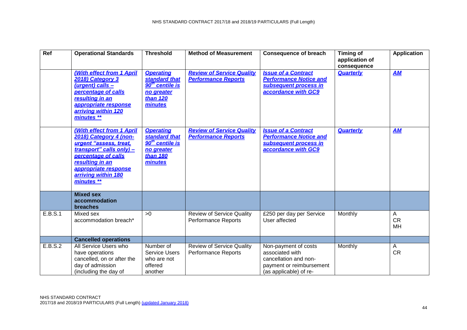| <b>Ref</b> | <b>Operational Standards</b>                                                                                                                                                                                     | <b>Threshold</b>                                                                                      | <b>Method of Measurement</b>                                   | <b>Consequence of breach</b>                                                                                           | <b>Timing of</b><br>application of<br>consequence | <b>Application</b>        |
|------------|------------------------------------------------------------------------------------------------------------------------------------------------------------------------------------------------------------------|-------------------------------------------------------------------------------------------------------|----------------------------------------------------------------|------------------------------------------------------------------------------------------------------------------------|---------------------------------------------------|---------------------------|
|            | (With effect from 1 April<br>2018) Category 3<br>(urgent) calls -<br>percentage of calls<br>resulting in an<br>appropriate response<br>arriving within 120<br>minutes **                                         | <b>Operating</b><br>standard that<br>90 <sup>th</sup> centile is<br>no areater<br>than 120<br>minutes | <b>Review of Service Quality</b><br><b>Performance Reports</b> | <b>Issue of a Contract</b><br><b>Performance Notice and</b><br>subsequent process in<br>accordance with GC9            | Quarterly                                         | AM                        |
|            | (With effect from 1 April<br>2018) Category 4 (non-<br>urgent "assess, treat,<br>transport" calls only) -<br>percentage of calls<br>resulting in an<br>appropriate response<br>arriving within 180<br>minutes ** | <b>Operating</b><br>standard that<br>90 <sup>th</sup> centile is<br>no greater<br>than 180<br>minutes | <b>Review of Service Quality</b><br><b>Performance Reports</b> | <b>Issue of a Contract</b><br><b>Performance Notice and</b><br>subsequent process in<br>accordance with GC9            | <b>Quarterly</b>                                  | AM                        |
|            | <b>Mixed sex</b><br>accommodation<br>breaches                                                                                                                                                                    |                                                                                                       |                                                                |                                                                                                                        |                                                   |                           |
| E.B.S.1    | Mixed sex<br>accommodation breach*                                                                                                                                                                               | >0                                                                                                    | <b>Review of Service Quality</b><br>Performance Reports        | £250 per day per Service<br>User affected                                                                              | Monthly                                           | A<br><b>CR</b><br>MH      |
|            | <b>Cancelled operations</b>                                                                                                                                                                                      |                                                                                                       |                                                                |                                                                                                                        |                                                   |                           |
| E.B.S.2    | All Service Users who<br>have operations<br>cancelled, on or after the<br>day of admission<br>(including the day of                                                                                              | Number of<br><b>Service Users</b><br>who are not<br>offered<br>another                                | <b>Review of Service Quality</b><br><b>Performance Reports</b> | Non-payment of costs<br>associated with<br>cancellation and non-<br>payment or reimbursement<br>(as applicable) of re- | Monthly                                           | $\mathsf{A}$<br><b>CR</b> |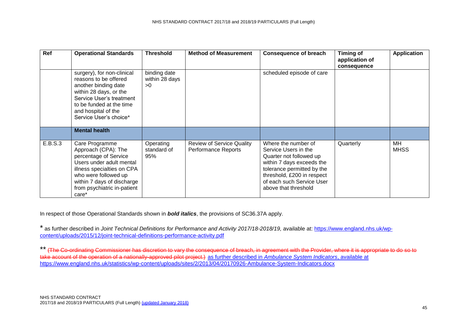| Ref     | <b>Operational Standards</b>                                                                                                                                                                                           | <b>Threshold</b>                     | <b>Method of Measurement</b>                            | <b>Consequence of breach</b>                                                                                                                                                                                         | <b>Timing of</b><br>application of<br>consequence | <b>Application</b> |
|---------|------------------------------------------------------------------------------------------------------------------------------------------------------------------------------------------------------------------------|--------------------------------------|---------------------------------------------------------|----------------------------------------------------------------------------------------------------------------------------------------------------------------------------------------------------------------------|---------------------------------------------------|--------------------|
|         | surgery), for non-clinical<br>reasons to be offered<br>another binding date<br>within 28 days, or the<br>Service User's treatment<br>to be funded at the time<br>and hospital of the<br>Service User's choice*         | binding date<br>within 28 days<br>>0 |                                                         | scheduled episode of care                                                                                                                                                                                            |                                                   |                    |
|         | <b>Mental health</b>                                                                                                                                                                                                   |                                      |                                                         |                                                                                                                                                                                                                      |                                                   |                    |
| E.B.S.3 | Care Programme<br>Approach (CPA): The<br>percentage of Service<br>Users under adult mental<br>illness specialties on CPA<br>who were followed up<br>within 7 days of discharge<br>from psychiatric in-patient<br>care* | Operating<br>standard of<br>95%      | <b>Review of Service Quality</b><br>Performance Reports | Where the number of<br>Service Users in the<br>Quarter not followed up<br>within 7 days exceeds the<br>tolerance permitted by the<br>threshold, £200 in respect<br>of each such Service User<br>above that threshold | Quarterly                                         | MH<br><b>MHSS</b>  |

In respect of those Operational Standards shown in *bold italics*, the provisions of SC36.37A apply.

\* as further described in *Joint Technical Definitions for Performance and Activity 2017/18-2018/19*, available at: [https://www.england.nhs.uk/wp](https://www.england.nhs.uk/wp-content/uploads/2015/12/joint-technical-definitions-performance-activity.pdf)[content/uploads/2015/12/joint-technical-definitions-performance-activity.pdf](https://www.england.nhs.uk/wp-content/uploads/2015/12/joint-technical-definitions-performance-activity.pdf)

\*\* (The Co-ordinating Commissioner has discretion to vary the consequence of breach, in agreement with the Provider, where it is appropriate to do so to take account of the operation of a nationally-approved pilot project.) as further described in *Ambulance System Indicators*, available at <https://www.england.nhs.uk/statistics/wp-content/uploads/sites/2/2013/04/20170926-Ambulance-System-Indicators.docx>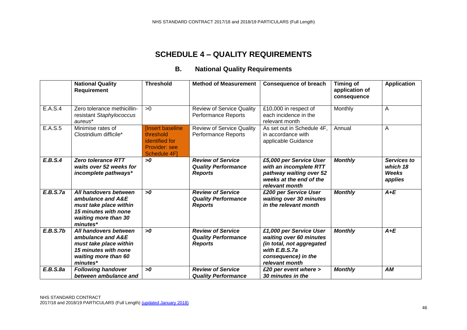### **B. National Quality Requirements**

|                      | <b>National Quality</b><br><b>Requirement</b>                                                                                    | <b>Threshold</b>                                                                       | <b>Method of Measurement</b>                                             | <b>Consequence of breach</b>                                                                                                              | <b>Timing of</b><br>application of<br>consequence | <b>Application</b>                          |
|----------------------|----------------------------------------------------------------------------------------------------------------------------------|----------------------------------------------------------------------------------------|--------------------------------------------------------------------------|-------------------------------------------------------------------------------------------------------------------------------------------|---------------------------------------------------|---------------------------------------------|
| E.A.S.4              | Zero tolerance methicillin-<br>resistant Staphylococcus<br>aureus*                                                               | >0                                                                                     | <b>Review of Service Quality</b><br>Performance Reports                  | £10,000 in respect of<br>each incidence in the<br>relevant month                                                                          | Monthly                                           | $\overline{A}$                              |
| $E.A.\overline{S.5}$ | Minimise rates of<br>Clostridium difficile*                                                                                      | <b>Insert baseline</b><br>threshold<br>identified for<br>Provider: see<br>Schedule 4F] | <b>Review of Service Quality</b><br><b>Performance Reports</b>           | As set out in Schedule 4F,<br>in accordance with<br>applicable Guidance                                                                   | Annual                                            | Α                                           |
| E.B.S.4              | <b>Zero tolerance RTT</b><br>waits over 52 weeks for<br>incomplete pathways*                                                     | >0                                                                                     | <b>Review of Service</b><br><b>Quality Performance</b><br><b>Reports</b> | £5,000 per Service User<br>with an incomplete RTT<br>pathway waiting over 52<br>weeks at the end of the<br>relevant month                 | <b>Monthly</b>                                    | Services to<br>which 18<br>Weeks<br>applies |
| E.B.S.7a             | All handovers between<br>ambulance and A&E<br>must take place within<br>15 minutes with none<br>waiting more than 30<br>minutes* | >0                                                                                     | <b>Review of Service</b><br><b>Quality Performance</b><br><b>Reports</b> | £200 per Service User<br>waiting over 30 minutes<br>in the relevant month                                                                 | <b>Monthly</b>                                    | $A+E$                                       |
| E.B.S.7b             | All handovers between<br>ambulance and A&E<br>must take place within<br>15 minutes with none<br>waiting more than 60<br>minutes* | >0                                                                                     | <b>Review of Service</b><br><b>Quality Performance</b><br><b>Reports</b> | £1,000 per Service User<br>waiting over 60 minutes<br>(in total, not aggregated<br>with E.B.S.7a<br>consequence) in the<br>relevant month | <b>Monthly</b>                                    | $A+E$                                       |
| E.B.S.8a             | <b>Following handover</b><br>between ambulance and                                                                               | >0                                                                                     | <b>Review of Service</b><br><b>Quality Performance</b>                   | £20 per event where ><br>30 minutes in the                                                                                                | <b>Monthly</b>                                    | AM                                          |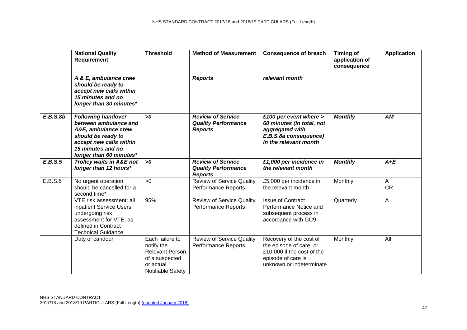|          | <b>National Quality</b><br>Requirement                                                                                                                                     | <b>Threshold</b>                                                                                            | <b>Method of Measurement</b>                                             | <b>Consequence of breach</b>                                                                                                       | <b>Timing of</b><br>application of<br>consequence | <b>Application</b> |
|----------|----------------------------------------------------------------------------------------------------------------------------------------------------------------------------|-------------------------------------------------------------------------------------------------------------|--------------------------------------------------------------------------|------------------------------------------------------------------------------------------------------------------------------------|---------------------------------------------------|--------------------|
|          | A & E, ambulance crew<br>should be ready to<br>accept new calls within<br>15 minutes and no<br>longer than 30 minutes*                                                     |                                                                                                             | <b>Reports</b>                                                           | relevant month                                                                                                                     |                                                   |                    |
| E.B.S.8b | <b>Following handover</b><br>between ambulance and<br>A&E, ambulance crew<br>should be ready to<br>accept new calls within<br>15 minutes and no<br>longer than 60 minutes* | >0                                                                                                          | <b>Review of Service</b><br><b>Quality Performance</b><br><b>Reports</b> | £100 per event where ><br>60 minutes (in total, not<br>aggregated with<br>E.B.S.8a consequence)<br>in the relevant month           | <b>Monthly</b>                                    | AM                 |
| E.B.S.5  | Trolley waits in A&E not<br>longer than 12 hours*                                                                                                                          | >0                                                                                                          | <b>Review of Service</b><br><b>Quality Performance</b><br><b>Reports</b> | £1,000 per incidence in<br>the relevant month                                                                                      | <b>Monthly</b>                                    | $A+E$              |
| E.B.S.6  | No urgent operation<br>should be cancelled for a<br>second time*                                                                                                           | >0                                                                                                          | <b>Review of Service Quality</b><br><b>Performance Reports</b>           | £5,000 per incidence in<br>the relevant month                                                                                      | Monthly                                           | A<br><b>CR</b>     |
|          | VTE risk assessment: all<br>inpatient Service Users<br>undergoing risk<br>assessment for VTE, as<br>defined in Contract<br><b>Technical Guidance</b>                       | 95%                                                                                                         | <b>Review of Service Quality</b><br><b>Performance Reports</b>           | <b>Issue of Contract</b><br>Performance Notice and<br>subsequent process in<br>accordance with GC9                                 | Quarterly                                         | A                  |
|          | Duty of candour                                                                                                                                                            | Each failure to<br>notify the<br><b>Relevant Person</b><br>of a suspected<br>or actual<br>Notifiable Safety | <b>Review of Service Quality</b><br><b>Performance Reports</b>           | Recovery of the cost of<br>the episode of care, or<br>£10,000 if the cost of the<br>episode of care is<br>unknown or indeterminate | Monthly                                           | All                |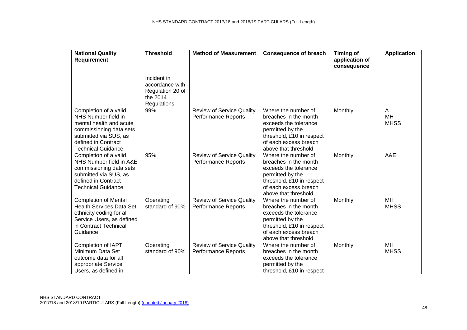| <b>National Quality</b><br>Requirement                                                                                                                                          | <b>Threshold</b>                                                              | <b>Method of Measurement</b>                                   | <b>Consequence of breach</b>                                                                                                                                            | <b>Timing of</b><br>application of<br>consequence | <b>Application</b>            |
|---------------------------------------------------------------------------------------------------------------------------------------------------------------------------------|-------------------------------------------------------------------------------|----------------------------------------------------------------|-------------------------------------------------------------------------------------------------------------------------------------------------------------------------|---------------------------------------------------|-------------------------------|
|                                                                                                                                                                                 | Incident in<br>accordance with<br>Regulation 20 of<br>the 2014<br>Regulations |                                                                |                                                                                                                                                                         |                                                   |                               |
| Completion of a valid<br>NHS Number field in<br>mental health and acute<br>commissioning data sets<br>submitted via SUS, as<br>defined in Contract<br><b>Technical Guidance</b> | 99%                                                                           | <b>Review of Service Quality</b><br><b>Performance Reports</b> | Where the number of<br>breaches in the month<br>exceeds the tolerance<br>permitted by the<br>threshold, £10 in respect<br>of each excess breach<br>above that threshold | Monthly                                           | A<br><b>MH</b><br><b>MHSS</b> |
| Completion of a valid<br>NHS Number field in A&E<br>commissioning data sets<br>submitted via SUS, as<br>defined in Contract<br><b>Technical Guidance</b>                        | 95%                                                                           | <b>Review of Service Quality</b><br><b>Performance Reports</b> | Where the number of<br>breaches in the month<br>exceeds the tolerance<br>permitted by the<br>threshold, £10 in respect<br>of each excess breach<br>above that threshold | Monthly                                           | A&E                           |
| <b>Completion of Mental</b><br><b>Health Services Data Set</b><br>ethnicity coding for all<br>Service Users, as defined<br>in Contract Technical<br>Guidance                    | Operating<br>standard of 90%                                                  | <b>Review of Service Quality</b><br><b>Performance Reports</b> | Where the number of<br>breaches in the month<br>exceeds the tolerance<br>permitted by the<br>threshold, £10 in respect<br>of each excess breach<br>above that threshold | Monthly                                           | <b>MH</b><br><b>MHSS</b>      |
| Completion of IAPT<br>Minimum Data Set<br>outcome data for all<br>appropriate Service<br>Users, as defined in                                                                   | Operating<br>standard of 90%                                                  | <b>Review of Service Quality</b><br><b>Performance Reports</b> | Where the number of<br>breaches in the month<br>exceeds the tolerance<br>permitted by the<br>threshold, £10 in respect                                                  | Monthly                                           | <b>MH</b><br><b>MHSS</b>      |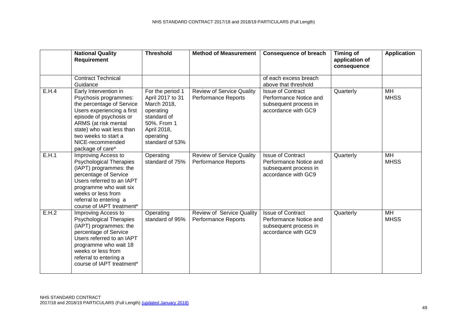|       | <b>National Quality</b><br>Requirement                                                                                                                                                                                                                    | <b>Threshold</b>                                                                                                                              | <b>Method of Measurement</b>                                   | <b>Consequence of breach</b>                                                                       | <b>Timing of</b><br>application of<br>consequence | <b>Application</b>             |
|-------|-----------------------------------------------------------------------------------------------------------------------------------------------------------------------------------------------------------------------------------------------------------|-----------------------------------------------------------------------------------------------------------------------------------------------|----------------------------------------------------------------|----------------------------------------------------------------------------------------------------|---------------------------------------------------|--------------------------------|
|       | <b>Contract Technical</b><br>Guidance                                                                                                                                                                                                                     |                                                                                                                                               |                                                                | of each excess breach<br>above that threshold                                                      |                                                   |                                |
| E.H.4 | Early Intervention in<br>Psychosis programmes:<br>the percentage of Service<br>Users experiencing a first<br>episode of psychosis or<br>ARMS (at risk mental<br>state) who wait less than<br>two weeks to start a<br>NICE-recommended<br>package of care* | For the period 1<br>April 2017 to 31<br>March 2018,<br>operating<br>standard of<br>50%. From 1<br>April 2018,<br>operating<br>standard of 53% | <b>Review of Service Quality</b><br><b>Performance Reports</b> | <b>Issue of Contract</b><br>Performance Notice and<br>subsequent process in<br>accordance with GC9 | Quarterly                                         | <b>MH</b><br><b>MHSS</b>       |
| E.H.1 | Improving Access to<br><b>Psychological Therapies</b><br>(IAPT) programmes: the<br>percentage of Service<br>Users referred to an IAPT<br>programme who wait six<br>weeks or less from<br>referral to entering a<br>course of IAPT treatment*              | Operating<br>standard of 75%                                                                                                                  | <b>Review of Service Quality</b><br><b>Performance Reports</b> | <b>Issue of Contract</b><br>Performance Notice and<br>subsequent process in<br>accordance with GC9 | Quarterly                                         | <b>MH</b><br><b>MHSS</b>       |
| E.H.2 | Improving Access to<br><b>Psychological Therapies</b><br>(IAPT) programmes: the<br>percentage of Service<br>Users referred to an IAPT<br>programme who wait 18<br>weeks or less from<br>referral to entering a<br>course of IAPT treatment*               | Operating<br>standard of 95%                                                                                                                  | Review of Service Quality<br><b>Performance Reports</b>        | <b>Issue of Contract</b><br>Performance Notice and<br>subsequent process in<br>accordance with GC9 | Quarterly                                         | $\overline{MH}$<br><b>MHSS</b> |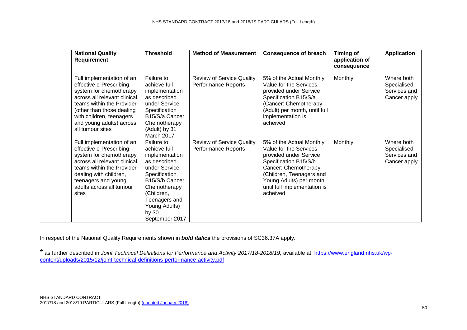| <b>National Quality</b><br>Requirement                                                                                                                                                                                                                | <b>Threshold</b>                                                                                                                                                                                             | <b>Method of Measurement</b>                            | <b>Consequence of breach</b>                                                                                                                                                                                                      | Timing of<br>application of | Application                                               |
|-------------------------------------------------------------------------------------------------------------------------------------------------------------------------------------------------------------------------------------------------------|--------------------------------------------------------------------------------------------------------------------------------------------------------------------------------------------------------------|---------------------------------------------------------|-----------------------------------------------------------------------------------------------------------------------------------------------------------------------------------------------------------------------------------|-----------------------------|-----------------------------------------------------------|
| Full implementation of an<br>effective e-Prescribing<br>system for chemotherapy<br>across all relevant clinical<br>teams within the Provider<br>(other than those dealing<br>with children, teenagers<br>and young adults) across<br>all tumour sites | Failure to<br>achieve full<br>implementation<br>as described<br>under Service<br>Specification<br>B15/S/a Cancer:<br>Chemotherapy<br>(Adult) by 31<br>March 2017                                             | <b>Review of Service Quality</b><br>Performance Reports | 5% of the Actual Monthly<br>Value for the Services<br>provided under Service<br>Specification B15/S/a<br>(Cancer: Chemotherapy<br>(Adult) per month, until full<br>implementation is<br>acheived                                  | consequence<br>Monthly      | Where both<br>Specialised<br>Services and<br>Cancer apply |
| Full implementation of an<br>effective e-Prescribing<br>system for chemotherapy<br>across all relevant clinical<br>teams within the Provider<br>dealing with children,<br>teenagers and young<br>adults across all tumour<br>sites                    | Failure to<br>achieve full<br>implementation<br>as described<br>under Service<br>Specification<br>B15/S/b Cancer:<br>Chemotherapy<br>(Children,<br>Teenagers and<br>Young Adults)<br>by 30<br>September 2017 | <b>Review of Service Quality</b><br>Performance Reports | 5% of the Actual Monthly<br>Value for the Services<br>provided under Service<br>Specification B15/S/b<br>Cancer: Chemotherapy<br>(Children, Teenagers and<br>Young Adults) per month,<br>until full implementation is<br>acheived | Monthly                     | Where both<br>Specialised<br>Services and<br>Cancer apply |

In respect of the National Quality Requirements shown in *bold italics* the provisions of SC36.37A apply.

\* as further described in *Joint Technical Definitions for Performance and Activity 2017/18-2018/19*, available at: [https://www.england.nhs.uk/wp](https://www.england.nhs.uk/wp-content/uploads/2015/12/joint-technical-definitions-performance-activity.pdf)[content/uploads/2015/12/joint-technical-definitions-performance-activity.pdf](https://www.england.nhs.uk/wp-content/uploads/2015/12/joint-technical-definitions-performance-activity.pdf)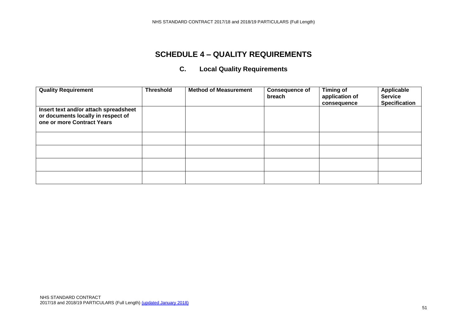### **C. Local Quality Requirements**

<span id="page-50-0"></span>

| <b>Quality Requirement</b>                                                                                | <b>Threshold</b> | <b>Method of Measurement</b> | <b>Consequence of</b><br>breach | <b>Timing of</b><br>application of<br>consequence | Applicable<br><b>Service</b><br><b>Specification</b> |
|-----------------------------------------------------------------------------------------------------------|------------------|------------------------------|---------------------------------|---------------------------------------------------|------------------------------------------------------|
| Insert text and/or attach spreadsheet<br>or documents locally in respect of<br>one or more Contract Years |                  |                              |                                 |                                                   |                                                      |
|                                                                                                           |                  |                              |                                 |                                                   |                                                      |
|                                                                                                           |                  |                              |                                 |                                                   |                                                      |
|                                                                                                           |                  |                              |                                 |                                                   |                                                      |
|                                                                                                           |                  |                              |                                 |                                                   |                                                      |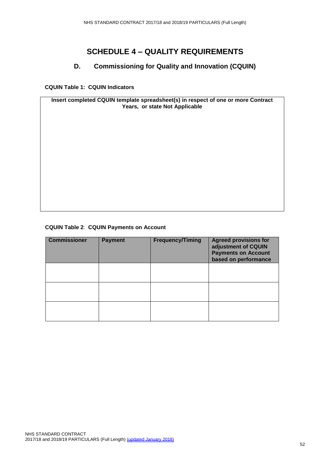#### **D. Commissioning for Quality and Innovation (CQUIN)**

<span id="page-51-0"></span>**CQUIN Table 1: CQUIN Indicators**

**Insert completed CQUIN template spreadsheet(s) in respect of one or more Contract Years, or state Not Applicable**

#### **CQUIN Table 2**: **CQUIN Payments on Account**

| <b>Commissioner</b> | <b>Payment</b> | <b>Frequency/Timing</b> | <b>Agreed provisions for</b><br>adjustment of CQUIN<br><b>Payments on Account</b><br>based on performance |
|---------------------|----------------|-------------------------|-----------------------------------------------------------------------------------------------------------|
|                     |                |                         |                                                                                                           |
|                     |                |                         |                                                                                                           |
|                     |                |                         |                                                                                                           |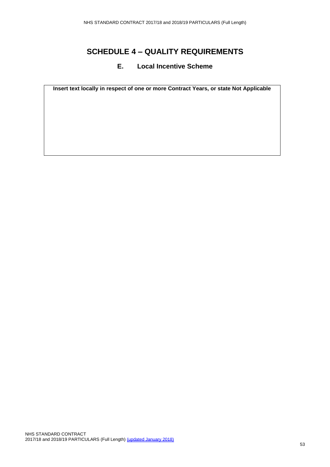#### **E. Local Incentive Scheme**

<span id="page-52-0"></span>**Insert text locally in respect of one or more Contract Years, or state Not Applicable**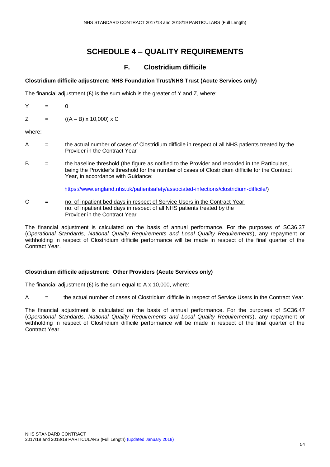#### **F. Clostridium difficile**

#### **Clostridium difficile adjustment: NHS Foundation Trust/NHS Trust (Acute Services only)**

The financial adjustment  $(E)$  is the sum which is the greater of Y and Z, where:

Y = 0

 $Z = ((A - B) \times 10,000) \times C$ 

where:

- A = the actual number of cases of Clostridium difficile in respect of all NHS patients treated by the Provider in the Contract Year
- $B =$  the baseline threshold (the figure as notified to the Provider and recorded in the Particulars, being the Provider's threshold for the number of cases of Clostridium difficile for the Contract Year, in accordance with Guidance:

[https://www.england.nhs.uk/patientsafety/associated-infections/clostridium-difficile/\)](https://www.england.nhs.uk/patientsafety/associated-infections/clostridium-difficile/)

C = no. of inpatient bed days in respect of Service Users in the Contract Year no. of inpatient bed days in respect of all NHS patients treated by the Provider in the Contract Year

The financial adjustment is calculated on the basis of annual performance. For the purposes of SC36.37 (*Operational Standards, National Quality Requirements and Local Quality Requirements*), any repayment or withholding in respect of Clostridium difficile performance will be made in respect of the final quarter of the Contract Year.

#### **Clostridium difficile adjustment: Other Providers (Acute Services only)**

The financial adjustment  $(E)$  is the sum equal to A x 10,000, where:

A  $=$  the actual number of cases of Clostridium difficile in respect of Service Users in the Contract Year.

The financial adjustment is calculated on the basis of annual performance. For the purposes of SC36.47 (*Operational Standards, National Quality Requirements and Local Quality Requirements*), any repayment or withholding in respect of Clostridium difficile performance will be made in respect of the final quarter of the Contract Year.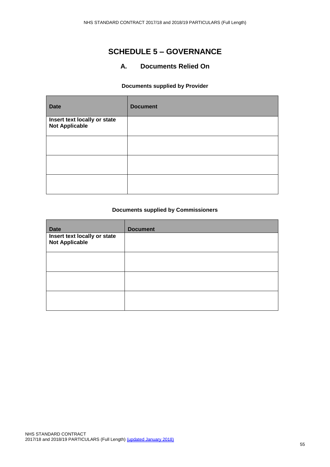### **SCHEDULE 5 – GOVERNANCE**

#### **A. Documents Relied On**

#### **Documents supplied by Provider**

| <b>Date</b>                                           | <b>Document</b> |
|-------------------------------------------------------|-----------------|
| Insert text locally or state<br><b>Not Applicable</b> |                 |
|                                                       |                 |
|                                                       |                 |
|                                                       |                 |

#### **Documents supplied by Commissioners**

| <b>Date</b>                                           | <b>Document</b> |
|-------------------------------------------------------|-----------------|
| Insert text locally or state<br><b>Not Applicable</b> |                 |
|                                                       |                 |
|                                                       |                 |
|                                                       |                 |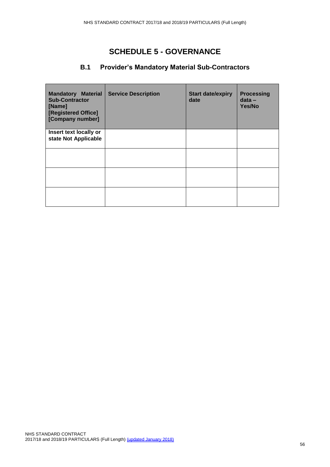## **SCHEDULE 5 - GOVERNANCE**

#### **B.1 Provider's Mandatory Material Sub-Contractors**

| <b>Mandatory Material</b><br><b>Sub-Contractor</b><br>[Name]<br>[Registered Office]<br>[Company number] | <b>Service Description</b> | <b>Start date/expiry</b><br>date | <b>Processing</b><br>$data -$<br>Yes/No |
|---------------------------------------------------------------------------------------------------------|----------------------------|----------------------------------|-----------------------------------------|
| Insert text locally or<br>state Not Applicable                                                          |                            |                                  |                                         |
|                                                                                                         |                            |                                  |                                         |
|                                                                                                         |                            |                                  |                                         |
|                                                                                                         |                            |                                  |                                         |
|                                                                                                         |                            |                                  |                                         |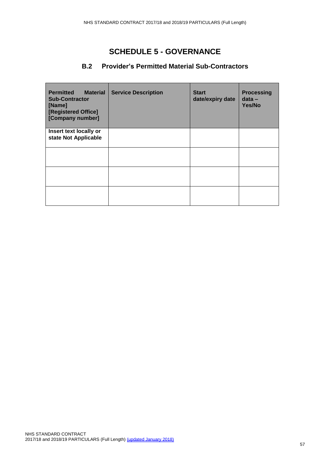### **SCHEDULE 5 - GOVERNANCE**

#### **B.2 Provider's Permitted Material Sub-Contractors**

| <b>Permitted</b><br><b>Material</b><br><b>Sub-Contractor</b><br>[Name]<br>[Registered Office]<br>[Company number] | <b>Service Description</b> | <b>Start</b><br>date/expiry date | <b>Processing</b><br>$data -$<br>Yes/No |
|-------------------------------------------------------------------------------------------------------------------|----------------------------|----------------------------------|-----------------------------------------|
| Insert text locally or<br>state Not Applicable                                                                    |                            |                                  |                                         |
|                                                                                                                   |                            |                                  |                                         |
|                                                                                                                   |                            |                                  |                                         |
|                                                                                                                   |                            |                                  |                                         |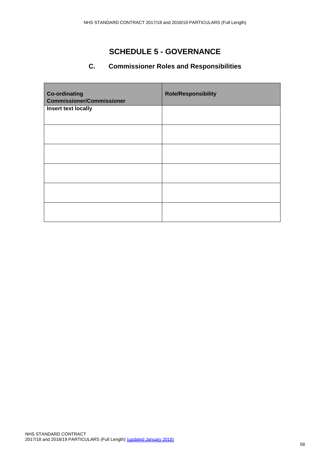### **SCHEDULE 5 - GOVERNANCE**

### **C. Commissioner Roles and Responsibilities**

<span id="page-57-0"></span>

| <b>Co-ordinating</b><br><b>Commissioner/Commissioner</b> | <b>Role/Responsibility</b> |
|----------------------------------------------------------|----------------------------|
| Insert text locally                                      |                            |
|                                                          |                            |
|                                                          |                            |
|                                                          |                            |
|                                                          |                            |
|                                                          |                            |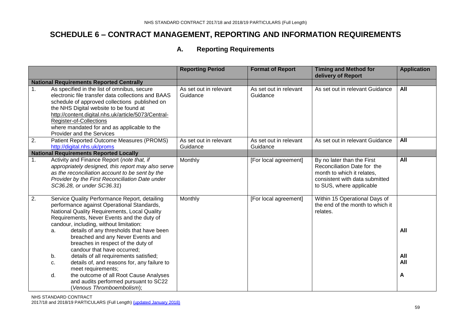### **A. Reporting Requirements**

|    |                                                                                                                                                                                                                                                                                                                                                                                                  | <b>Reporting Period</b>            | <b>Format of Report</b>            | <b>Timing and Method for</b><br>delivery of Report                                                                                                    | <b>Application</b> |
|----|--------------------------------------------------------------------------------------------------------------------------------------------------------------------------------------------------------------------------------------------------------------------------------------------------------------------------------------------------------------------------------------------------|------------------------------------|------------------------------------|-------------------------------------------------------------------------------------------------------------------------------------------------------|--------------------|
|    | <b>National Requirements Reported Centrally</b>                                                                                                                                                                                                                                                                                                                                                  |                                    |                                    |                                                                                                                                                       |                    |
| 1. | As specified in the list of omnibus, secure<br>electronic file transfer data collections and BAAS<br>schedule of approved collections published on<br>the NHS Digital website to be found at<br>http://content.digital.nhs.uk/article/5073/Central-<br>Register-of-Collections<br>where mandated for and as applicable to the<br>Provider and the Services                                       | As set out in relevant<br>Guidance | As set out in relevant<br>Guidance | As set out in relevant Guidance                                                                                                                       | All                |
| 2. | Patient Reported Outcome Measures (PROMS)<br>http://digital.nhs.uk/proms                                                                                                                                                                                                                                                                                                                         | As set out in relevant<br>Guidance | As set out in relevant<br>Guidance | As set out in relevant Guidance                                                                                                                       | All                |
|    | <b>National Requirements Reported Locally</b>                                                                                                                                                                                                                                                                                                                                                    |                                    |                                    |                                                                                                                                                       |                    |
| 1. | Activity and Finance Report (note that, if<br>appropriately designed, this report may also serve<br>as the reconciliation account to be sent by the<br>Provider by the First Reconciliation Date under<br>SC36.28, or under SC36.31)                                                                                                                                                             | Monthly                            | [For local agreement]              | By no later than the First<br>Reconciliation Date for the<br>month to which it relates,<br>consistent with data submitted<br>to SUS, where applicable | All                |
| 2. | Service Quality Performance Report, detailing<br>performance against Operational Standards,<br>National Quality Requirements, Local Quality<br>Requirements, Never Events and the duty of<br>candour, including, without limitation:<br>details of any thresholds that have been<br>a.<br>breached and any Never Events and<br>breaches in respect of the duty of<br>candour that have occurred; | Monthly                            | [For local agreement]              | Within 15 Operational Days of<br>the end of the month to which it<br>relates.                                                                         | All                |
|    | details of all requirements satisfied;<br>b.<br>details of, and reasons for, any failure to<br>c.                                                                                                                                                                                                                                                                                                |                                    |                                    |                                                                                                                                                       | All<br>All         |
|    | meet requirements;<br>the outcome of all Root Cause Analyses<br>d.<br>and audits performed pursuant to SC22<br>(Venous Thromboembolism);                                                                                                                                                                                                                                                         |                                    |                                    |                                                                                                                                                       | A                  |

<span id="page-58-0"></span>NHS STANDARD CONTRACT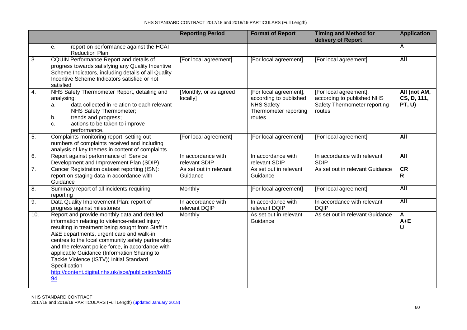#### NHS STANDARD CONTRACT 2017/18 and 2018/19 PARTICULARS (Full Length)

|     |                                                                                                                                                                                                                                                                                                                                                                                                                                                                                      | <b>Reporting Period</b>             | <b>Format of Report</b>                                                                                  | <b>Timing and Method for</b><br>delivery of Report                                             | <b>Application</b>                    |
|-----|--------------------------------------------------------------------------------------------------------------------------------------------------------------------------------------------------------------------------------------------------------------------------------------------------------------------------------------------------------------------------------------------------------------------------------------------------------------------------------------|-------------------------------------|----------------------------------------------------------------------------------------------------------|------------------------------------------------------------------------------------------------|---------------------------------------|
|     | report on performance against the HCAI<br>e.<br><b>Reduction Plan</b>                                                                                                                                                                                                                                                                                                                                                                                                                |                                     |                                                                                                          |                                                                                                | A                                     |
| 3.  | <b>CQUIN Performance Report and details of</b><br>progress towards satisfying any Quality Incentive<br>Scheme Indicators, including details of all Quality<br>Incentive Scheme Indicators satisfied or not<br>satisfied                                                                                                                                                                                                                                                              | [For local agreement]               | [For local agreement]                                                                                    | [For local agreement]                                                                          | $\overline{All}$                      |
| 4.  | NHS Safety Thermometer Report, detailing and<br>analysing:<br>data collected in relation to each relevant<br>a.<br>NHS Safety Thermometer;<br>trends and progress;<br>b.<br>actions to be taken to improve<br>c.<br>performance.                                                                                                                                                                                                                                                     | [Monthly, or as agreed<br>locally]  | [For local agreement],<br>according to published<br><b>NHS Safety</b><br>Thermometer reporting<br>routes | [For local agreement],<br>according to published NHS<br>Safety Thermometer reporting<br>routes | All (not AM,<br>CS, D, 111,<br>PT, U) |
| 5.  | Complaints monitoring report, setting out<br>numbers of complaints received and including<br>analysis of key themes in content of complaints                                                                                                                                                                                                                                                                                                                                         | [For local agreement]               | [For local agreement]                                                                                    | [For local agreement]                                                                          | All                                   |
| 6.  | Report against performance of Service<br>Development and Improvement Plan (SDIP)                                                                                                                                                                                                                                                                                                                                                                                                     | In accordance with<br>relevant SDIP | In accordance with<br>relevant SDIP                                                                      | In accordance with relevant<br><b>SDIP</b>                                                     | All                                   |
| 7.  | Cancer Registration dataset reporting (ISN):<br>report on staging data in accordance with<br>Guidance                                                                                                                                                                                                                                                                                                                                                                                | As set out in relevant<br>Guidance  | As set out in relevant<br>Guidance                                                                       | As set out in relevant Guidance                                                                | CR<br>R.                              |
| 8.  | Summary report of all incidents requiring<br>reporting                                                                                                                                                                                                                                                                                                                                                                                                                               | Monthly                             | [For local agreement]                                                                                    | [For local agreement]                                                                          | All                                   |
| 9.  | Data Quality Improvement Plan: report of<br>progress against milestones                                                                                                                                                                                                                                                                                                                                                                                                              | In accordance with<br>relevant DQIP | In accordance with<br>relevant DQIP                                                                      | In accordance with relevant<br><b>DQIP</b>                                                     | All                                   |
| 10. | Report and provide monthly data and detailed<br>information relating to violence-related injury<br>resulting in treatment being sought from Staff in<br>A&E departments, urgent care and walk-in<br>centres to the local community safety partnership<br>and the relevant police force, in accordance with<br>applicable Guidance (Information Sharing to<br>Tackle Violence (ISTV)) Initial Standard<br>Specification<br>http://content.digital.nhs.uk/isce/publication/isb15<br>94 | Monthly                             | As set out in relevant<br>Guidance                                                                       | As set out in relevant Guidance                                                                | A<br>$A + E$<br>U                     |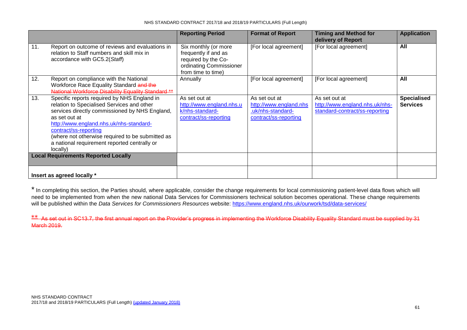|                                            |                                                                                                                                                                                                                                                                                                                                                  | <b>Reporting Period</b>                                                                                              | <b>Format of Report</b>                                                               | <b>Timing and Method for</b><br>delivery of Report                                | <b>Application</b>                    |
|--------------------------------------------|--------------------------------------------------------------------------------------------------------------------------------------------------------------------------------------------------------------------------------------------------------------------------------------------------------------------------------------------------|----------------------------------------------------------------------------------------------------------------------|---------------------------------------------------------------------------------------|-----------------------------------------------------------------------------------|---------------------------------------|
| 11.                                        | Report on outcome of reviews and evaluations in<br>relation to Staff numbers and skill mix in<br>accordance with GC5.2(Staff)                                                                                                                                                                                                                    | Six monthly (or more<br>frequently if and as<br>required by the Co-<br>ordinating Commissioner<br>from time to time) | [For local agreement]                                                                 | [For local agreement]                                                             | All                                   |
| 12.                                        | Report on compliance with the National<br>Workforce Race Equality Standard and the<br>National Workforce Disability Equality Standard **                                                                                                                                                                                                         | Annually                                                                                                             | [For local agreement]                                                                 | [For local agreement]                                                             | All                                   |
| 13.                                        | Specific reports required by NHS England in<br>relation to Specialised Services and other<br>services directly commissioned by NHS England,<br>as set out at<br>http://www.england.nhs.uk/nhs-standard-<br>contract/ss-reporting<br>(where not otherwise required to be submitted as<br>a national requirement reported centrally or<br>locally) | As set out at<br>http://www.england.nhs.u<br>k/nhs-standard-<br>contract/ss-reporting                                | As set out at<br>http://www.england.nhs<br>.uk/nhs-standard-<br>contract/ss-reporting | As set out at<br>http://www.england.nhs.uk/nhs-<br>standard-contract/ss-reporting | <b>Specialised</b><br><b>Services</b> |
| <b>Local Requirements Reported Locally</b> |                                                                                                                                                                                                                                                                                                                                                  |                                                                                                                      |                                                                                       |                                                                                   |                                       |
|                                            | Insert as agreed locally *                                                                                                                                                                                                                                                                                                                       |                                                                                                                      |                                                                                       |                                                                                   |                                       |

\* In completing this section, the Parties should, where applicable, consider the change requirements for local commissioning patient-level data flows which will need to be implemented from when the new national Data Services for Commissioners technical solution becomes operational. These change requirements will be published within the *Data Services for Commissioners Resources* website:<https://www.england.nhs.uk/ourwork/tsd/data-services/>

\*\* As set out in SC13.7, the first annual report on the Provider's progress in implementing the Workforce Disability Equality Standard must be supplied by 31 March 2019.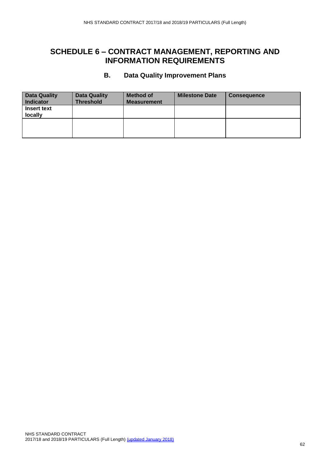#### **B. Data Quality Improvement Plans**

<span id="page-61-0"></span>

| <b>Data Quality</b><br><b>Indicator</b> | <b>Data Quality</b><br><b>Threshold</b> | <b>Method of</b><br><b>Measurement</b> | <b>Milestone Date</b> | <b>Consequence</b> |
|-----------------------------------------|-----------------------------------------|----------------------------------------|-----------------------|--------------------|
| <b>Insert text</b><br>locally           |                                         |                                        |                       |                    |
|                                         |                                         |                                        |                       |                    |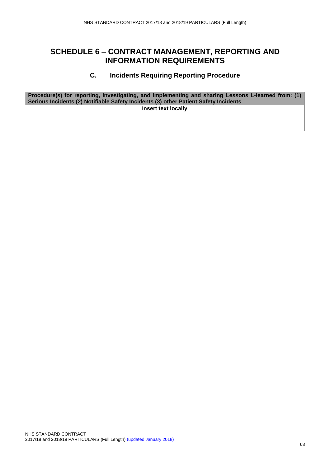#### **C. Incidents Requiring Reporting Procedure**

<span id="page-62-0"></span>**Procedure(s) for reporting, investigating, and implementing and sharing Lessons L-learned from: (1) Serious Incidents (2) Notifiable Safety Incidents (3) other Patient Safety Incidents Insert text locally**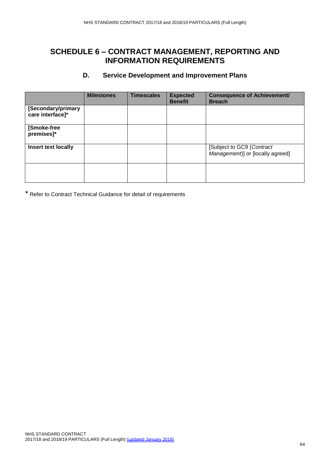#### **D. Service Development and Improvement Plans**

<span id="page-63-0"></span>

|                                        | <b>Milestones</b> | <b>Timescales</b> | <b>Expected</b><br><b>Benefit</b> | <b>Consequence of Achievement/</b><br><b>Breach</b>           |
|----------------------------------------|-------------------|-------------------|-----------------------------------|---------------------------------------------------------------|
| [Secondary/primary<br>care interface]* |                   |                   |                                   |                                                               |
| [Smoke-free<br>premises]*              |                   |                   |                                   |                                                               |
| <b>Insert text locally</b>             |                   |                   |                                   | [Subject to GC9 (Contract<br>Management)] or [locally agreed] |
|                                        |                   |                   |                                   |                                                               |

\* Refer to Contract Technical Guidance for detail of requirements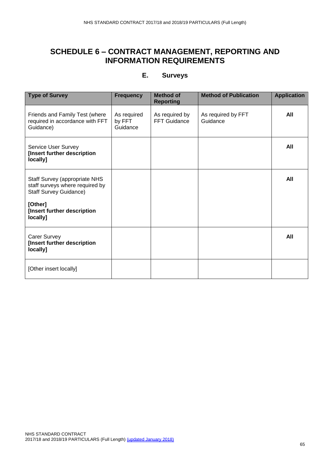#### **E. Surveys**

<span id="page-64-0"></span>

| <b>Type of Survey</b>                                                                                    | <b>Frequency</b>                  | <b>Method of</b><br><b>Reporting</b> | <b>Method of Publication</b>   | <b>Application</b> |
|----------------------------------------------------------------------------------------------------------|-----------------------------------|--------------------------------------|--------------------------------|--------------------|
| Friends and Family Test (where<br>required in accordance with FFT<br>Guidance)                           | As required<br>by FFT<br>Guidance | As required by<br>FFT Guidance       | As required by FFT<br>Guidance | All                |
| Service User Survey<br>[Insert further description<br>locally]                                           |                                   |                                      |                                | All                |
| <b>Staff Survey (appropriate NHS</b><br>staff surveys where required by<br><b>Staff Survey Guidance)</b> |                                   |                                      |                                | All                |
| [Other]<br>[Insert further description<br>locally]                                                       |                                   |                                      |                                |                    |
| <b>Carer Survey</b><br>[Insert further description<br>locally]                                           |                                   |                                      |                                | All                |
| [Other insert locally]                                                                                   |                                   |                                      |                                |                    |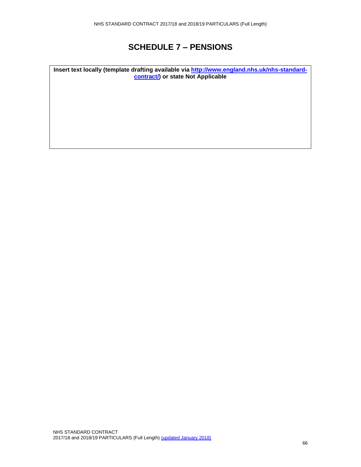### **SCHEDULE 7 – PENSIONS**

**Insert text locally (template drafting available via [http://www.england.nhs.uk/nhs-standard](http://www.england.nhs.uk/nhs-standard-contract/)[contract/\)](http://www.england.nhs.uk/nhs-standard-contract/) or state Not Applicable**